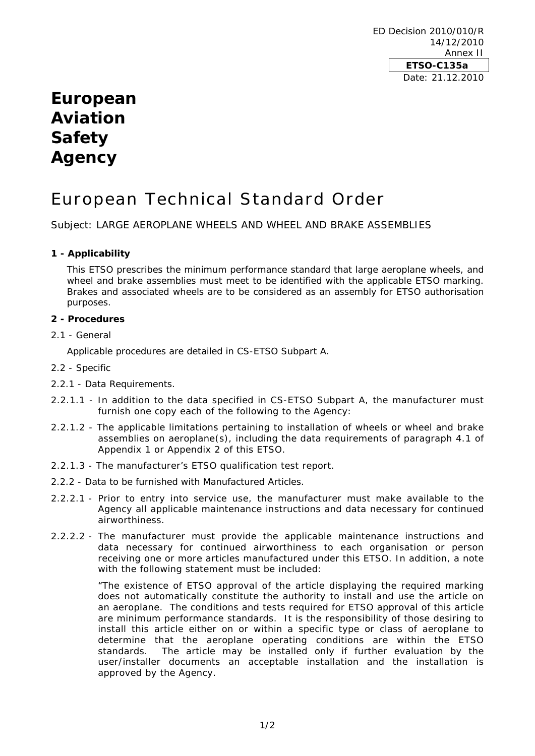ED Decision 2010/010/R 14/12/2010 Annex II **ETSO-C135a**  Date: 21.12.2010

# **European Aviation Safety Agency**

# European Technical Standard Order

Subject: LARGE AEROPLANE WHEELS AND WHEEL AND BRAKE ASSEMBLIES

# **1 - Applicability**

This ETSO prescribes the minimum performance standard that large aeroplane wheels, and wheel and brake assemblies must meet to be identified with the applicable ETSO marking. Brakes and associated wheels are to be considered as an assembly for ETSO authorisation purposes.

# **2 - Procedures**

2.1 - General

Applicable procedures are detailed in CS-ETSO Subpart A.

- 2.2 Specific
- 2.2.1 Data Requirements.
- 2.2.1.1 In addition to the data specified in CS-ETSO Subpart A, the manufacturer must furnish one copy each of the following to the Agency:
- 2.2.1.2 The applicable limitations pertaining to installation of wheels or wheel and brake assemblies on aeroplane(s), including the data requirements of paragraph 4.1 of Appendix 1 or Appendix 2 of this ETSO.
- 2.2.1.3 The manufacturer's ETSO qualification test report.
- 2.2.2 Data to be furnished with Manufactured Articles.
- 2.2.2.1 Prior to entry into service use, the manufacturer must make available to the Agency all applicable maintenance instructions and data necessary for continued airworthiness.
- 2.2.2.2 The manufacturer must provide the applicable maintenance instructions and data necessary for continued airworthiness to each organisation or person receiving one or more articles manufactured under this ETSO. In addition, a note with the following statement must be included:

"The existence of ETSO approval of the article displaying the required marking does not automatically constitute the authority to install and use the article on an aeroplane. The conditions and tests required for ETSO approval of this article are minimum performance standards. It is the responsibility of those desiring to install this article either on or within a specific type or class of aeroplane to determine that the aeroplane operating conditions are within the ETSO standards. The article may be installed only if further evaluation by the user/installer documents an acceptable installation and the installation is approved by the Agency.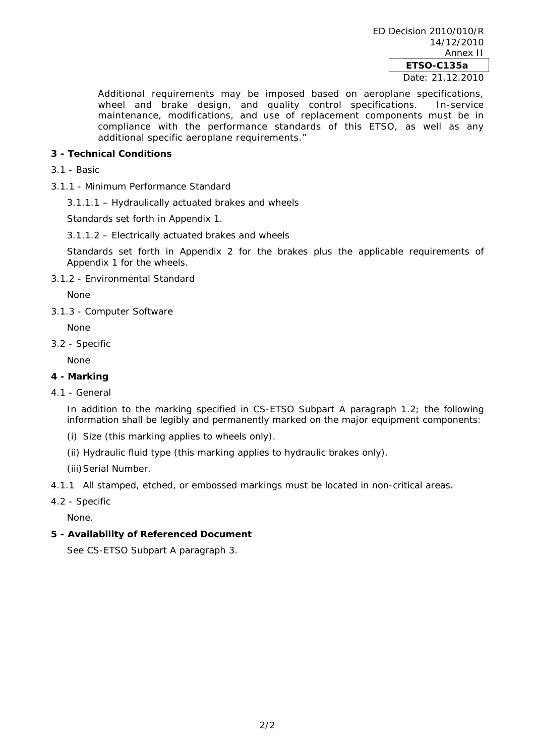Date: 21.12.2010

Additional requirements may be imposed based on aeroplane specifications, wheel and brake design, and quality control specifications. In-service mission and state assign, and quality sention oppointenements must be in compliance with the performance standards of this ETSO, as well as any additional specific aeroplane requirements."

# **3 - Technical Conditions**

- 3.1 Basic
- 3.1.1 Minimum Performance Standard

3.1.1.1 – Hydraulically actuated brakes and wheels

Standards set forth in Appendix 1.

3.1.1.2 – Electrically actuated brakes and wheels

Standards set forth in Appendix 2 for the brakes plus the applicable requirements of Appendix 1 for the wheels.

3.1.2 - Environmental Standard

None

3.1.3 - Computer Software

None

3.2 - Specific

None

# **4 - Marking**

4.1 - General

In addition to the marking specified in CS-ETSO Subpart A paragraph 1.2; the following information shall be legibly and permanently marked on the major equipment components:

- (i) Size (this marking applies to wheels only).
- (ii) Hydraulic fluid type (this marking applies to hydraulic brakes only).

(iii) Serial Number.

- 4.1.1 All stamped, etched, or embossed markings must be located in non-critical areas.
- 4.2 Specific

None.

# **5 - Availability of Referenced Document**

See CS-ETSO Subpart A paragraph 3.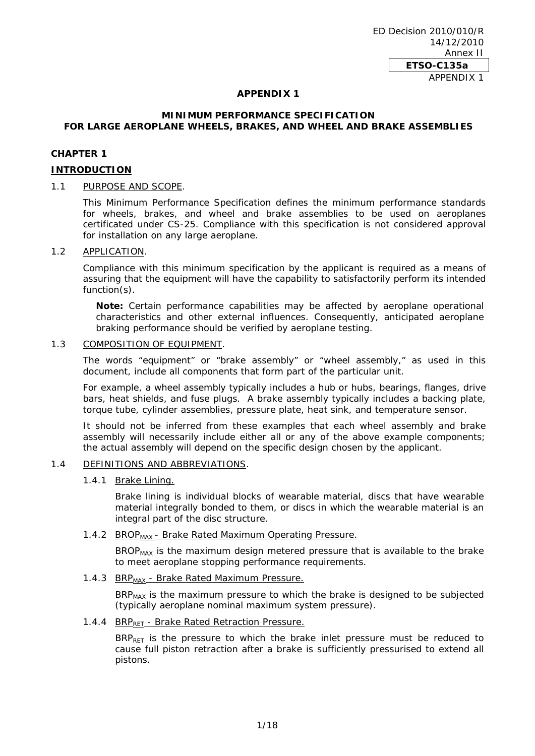ED Decision 2010/010/R 14/12/2010 Annex II **ETSO-C135a**  APPENDIX 1

#### **APPENDIX 1**

# **MINIMUM PERFORMANCE SPECIFICATION FOR LARGE AEROPLANE WHEELS, BRAKES, AND WHEEL AND BRAKE ASSEMBLIES**

#### **CHAPTER 1**

#### **INTRODUCTION**

# 1.1 PURPOSE AND SCOPE.

This Minimum Performance Specification defines the minimum performance standards for wheels, brakes, and wheel and brake assemblies to be used on aeroplanes certificated under CS-25. Compliance with this specification is not considered approval for installation on any large aeroplane.

#### 1.2 APPLICATION.

Compliance with this minimum specification by the applicant is required as a means of assuring that the equipment will have the capability to satisfactorily perform its intended function(s).

**Note:** Certain performance capabilities may be affected by aeroplane operational characteristics and other external influences. Consequently, anticipated aeroplane braking performance should be verified by aeroplane testing.

## 1.3 COMPOSITION OF EQUIPMENT.

The words "equipment" or "brake assembly" or "wheel assembly," as used in this document, include all components that form part of the particular unit.

For example, a wheel assembly typically includes a hub or hubs, bearings, flanges, drive bars, heat shields, and fuse plugs. A brake assembly typically includes a backing plate, torque tube, cylinder assemblies, pressure plate, heat sink, and temperature sensor.

It should not be inferred from these examples that each wheel assembly and brake assembly will necessarily include either all or any of the above example components; the actual assembly will depend on the specific design chosen by the applicant.

#### 1.4 DEFINITIONS AND ABBREVIATIONS.

#### 1.4.1 Brake Lining.

Brake lining is individual blocks of wearable material, discs that have wearable material integrally bonded to them, or discs in which the wearable material is an integral part of the disc structure.

#### 1.4.2 BROP<sub>MAX</sub> - Brake Rated Maximum Operating Pressure.

BROP<sub>MAX</sub> is the maximum design metered pressure that is available to the brake to meet aeroplane stopping performance requirements.

# 1.4.3 BRP<sub>MAX</sub> - Brake Rated Maximum Pressure.

BRP<sub>MAX</sub> is the maximum pressure to which the brake is designed to be subjected (typically aeroplane nominal maximum system pressure).

# 1.4.4 BRP<sub>RET</sub> - Brake Rated Retraction Pressure.

 $BRP_{RET}$  is the pressure to which the brake inlet pressure must be reduced to cause full piston retraction after a brake is sufficiently pressurised to extend all pistons.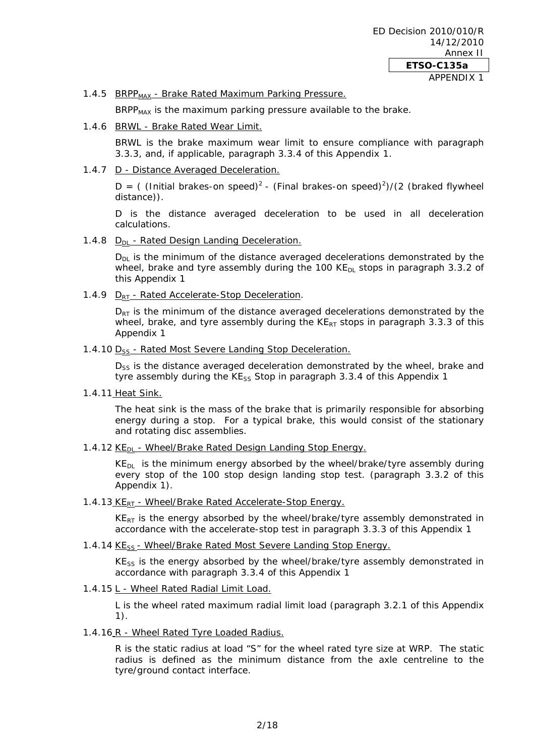# 1.4.5 BRPP<sub>MAX</sub> - Brake Rated Maximum Parking Pressure.

BRPP $_{MAX}$  is the maximum parking pressure available to the brake.

1.4.6 BRWL - Brake Rated Wear Limit.

BRWL is the brake maximum wear limit to ensure compliance with paragraph 3.3.3, and, if applicable, paragraph 3.3.4 of this Appendix 1.

# 1.4.7 D - Distance Averaged Deceleration.

D = ( (Initial brakes-on speed)<sup>2</sup> - (Final brakes-on speed)<sup>2</sup>)/(2 (braked flywheel distance)).

D is the distance averaged deceleration to be used in all deceleration calculations.

1.4.8  $D_{DI}$  - Rated Design Landing Deceleration.

 $D_{DL}$  is the minimum of the distance averaged decelerations demonstrated by the wheel, brake and tyre assembly during the 100 KE $_{DL}$  stops in paragraph 3.3.2 of this Appendix 1

1.4.9  $D_{RT}$  - Rated Accelerate-Stop Deceleration.

 $D_{RT}$  is the minimum of the distance averaged decelerations demonstrated by the wheel, brake, and tyre assembly during the  $KE_{RT}$  stops in paragraph 3.3.3 of this Appendix 1

1.4.10 D<sub>SS</sub> - Rated Most Severe Landing Stop Deceleration.

D<sub>SS</sub> is the distance averaged deceleration demonstrated by the wheel, brake and tyre assembly during the  $KE_{SS}$  Stop in paragraph 3.3.4 of this Appendix 1

1.4.11 Heat Sink.

The heat sink is the mass of the brake that is primarily responsible for absorbing energy during a stop. For a typical brake, this would consist of the stationary and rotating disc assemblies.

1.4.12  $KE<sub>DI</sub>$  - Wheel/Brake Rated Design Landing Stop Energy.

 $KE<sub>DL</sub>$  is the minimum energy absorbed by the wheel/brake/tyre assembly during every stop of the 100 stop design landing stop test. (paragraph 3.3.2 of this Appendix 1).

1.4.13  $KE_{RT}$  - Wheel/Brake Rated Accelerate-Stop Energy.

 $KE<sub>RT</sub>$  is the energy absorbed by the wheel/brake/tyre assembly demonstrated in accordance with the accelerate-stop test in paragraph 3.3.3 of this Appendix 1

1.4.14 KE<sub>SS</sub> - Wheel/Brake Rated Most Severe Landing Stop Energy.

 $KE_{ss}$  is the energy absorbed by the wheel/brake/tyre assembly demonstrated in accordance with paragraph 3.3.4 of this Appendix 1

1.4.15 L - Wheel Rated Radial Limit Load.

L is the wheel rated maximum radial limit load (paragraph 3.2.1 of this Appendix 1).

1.4.16 R - Wheel Rated Tyre Loaded Radius.

R is the static radius at load "S" for the wheel rated tyre size at WRP. The static radius is defined as the minimum distance from the axle centreline to the tyre/ground contact interface.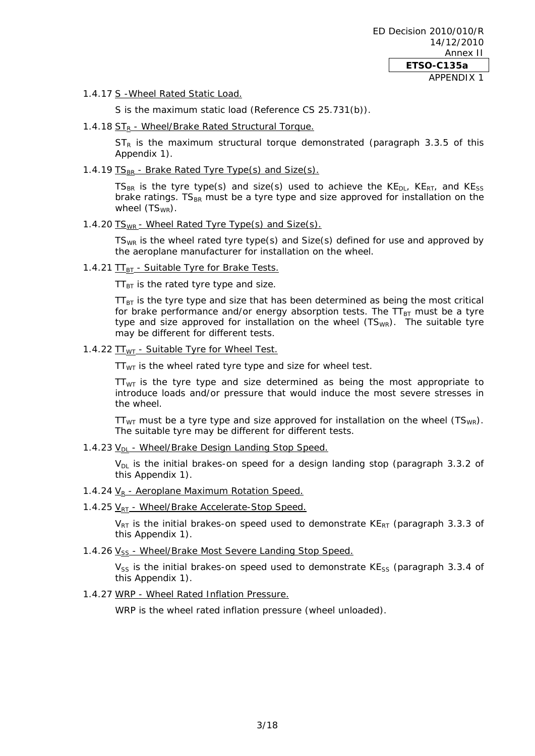1.4.17 S -Wheel Rated Static Load.

S is the maximum static load (Reference CS 25.731(b)).

1.4.18 ST<sub>R</sub> - Wheel/Brake Rated Structural Torque.

 $ST_R$  is the maximum structural torque demonstrated (paragraph 3.3.5 of this Appendix 1).

1.4.19  $TS_{BR}$  - Brake Rated Tyre Type(s) and Size(s).

TS<sub>BR</sub> is the tyre type(s) and size(s) used to achieve the  $KE_{DL}$ ,  $KE_{RT}$ , and  $KE_{SS}$ brake ratings.  $TS_{BR}$  must be a tyre type and size approved for installation on the wheel  $(TS_{WR})$ .

1.4.20 TS<sub>WR</sub> - Wheel Rated Tyre Type(s) and Size(s).

 $TS_{WR}$  is the wheel rated tyre type(s) and  $Size(s)$  defined for use and approved by the aeroplane manufacturer for installation on the wheel.

1.4.21 TT<sub>BT</sub> - Suitable Tyre for Brake Tests.

 $TT_{BT}$  is the rated tyre type and size.

 $TT_{BT}$  is the tyre type and size that has been determined as being the most critical for brake performance and/or energy absorption tests. The  $TT_{BT}$  must be a tyre type and size approved for installation on the wheel  $(TS_{WR})$ . The suitable tyre may be different for different tests.

1.4.22 TT<sub>WT</sub> - Suitable Tyre for Wheel Test.

 $TT_{WT}$  is the wheel rated tyre type and size for wheel test.

 $TT_{WT}$  is the tyre type and size determined as being the most appropriate to introduce loads and/or pressure that would induce the most severe stresses in the wheel.

 $TT_{WT}$  must be a tyre type and size approved for installation on the wheel (TS<sub>WR</sub>). The suitable tyre may be different for different tests.

1.4.23  $V_{DI}$  - Wheel/Brake Design Landing Stop Speed.

 $V_{DL}$  is the initial brakes-on speed for a design landing stop (paragraph 3.3.2 of this Appendix 1).

- 1.4.24  $V_R$  Aeroplane Maximum Rotation Speed.
- 1.4.25  $V_{RT}$  Wheel/Brake Accelerate-Stop Speed.

 $V_{RT}$  is the initial brakes-on speed used to demonstrate KE<sub>RT</sub> (paragraph 3.3.3 of this Appendix 1).

1.4.26 V<sub>SS</sub> - Wheel/Brake Most Severe Landing Stop Speed.

 $V_{SS}$  is the initial brakes-on speed used to demonstrate KE<sub>SS</sub> (paragraph 3.3.4 of this Appendix 1).

# 1.4.27 WRP - Wheel Rated Inflation Pressure.

WRP is the wheel rated inflation pressure (wheel unloaded).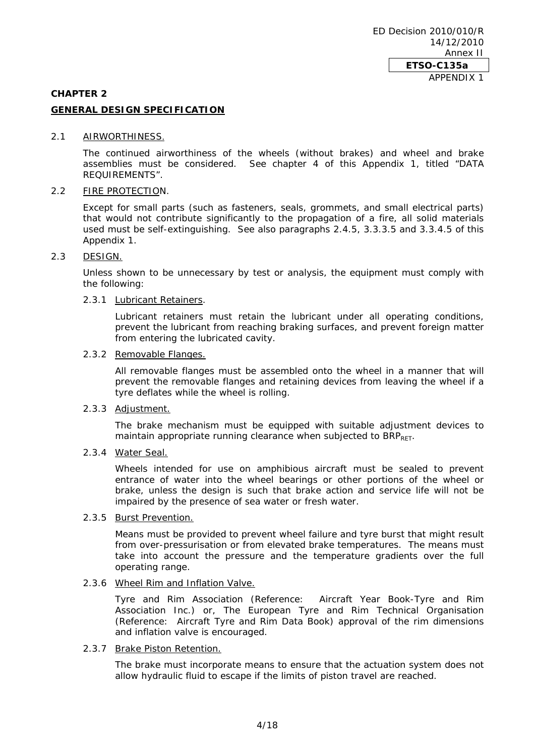#### **CHAPTER 2**

# **GENERAL DESIGN SPECIFICATION**

#### 2.1 AIRWORTHINESS.

The continued airworthiness of the wheels (without brakes) and wheel and brake assemblies must be considered. See chapter 4 of this Appendix 1, titled "DATA REQUIREMENTS".

## 2.2 FIRE PROTECTION.

Except for small parts (such as fasteners, seals, grommets, and small electrical parts) that would not contribute significantly to the propagation of a fire, all solid materials used must be self-extinguishing. See also paragraphs 2.4.5, 3.3.3.5 and 3.3.4.5 of this Appendix 1.

# 2.3 DESIGN.

Unless shown to be unnecessary by test or analysis, the equipment must comply with the following:

# 2.3.1 Lubricant Retainers.

Lubricant retainers must retain the lubricant under all operating conditions, prevent the lubricant from reaching braking surfaces, and prevent foreign matter from entering the lubricated cavity.

#### 2.3.2 Removable Flanges.

All removable flanges must be assembled onto the wheel in a manner that will prevent the removable flanges and retaining devices from leaving the wheel if a tyre deflates while the wheel is rolling.

# 2.3.3 Adjustment.

The brake mechanism must be equipped with suitable adjustment devices to maintain appropriate running clearance when subjected to BRPRET.

# 2.3.4 Water Seal.

Wheels intended for use on amphibious aircraft must be sealed to prevent entrance of water into the wheel bearings or other portions of the wheel or brake, unless the design is such that brake action and service life will not be impaired by the presence of sea water or fresh water.

#### 2.3.5 Burst Prevention.

Means must be provided to prevent wheel failure and tyre burst that might result from over-pressurisation or from elevated brake temperatures. The means must take into account the pressure and the temperature gradients over the full operating range.

# 2.3.6 Wheel Rim and Inflation Valve.

Tyre and Rim Association (Reference: Aircraft Year Book-Tyre and Rim Association Inc.) or, The European Tyre and Rim Technical Organisation (Reference: Aircraft Tyre and Rim Data Book) approval of the rim dimensions and inflation valve is encouraged.

# 2.3.7 Brake Piston Retention.

The brake must incorporate means to ensure that the actuation system does not allow hydraulic fluid to escape if the limits of piston travel are reached.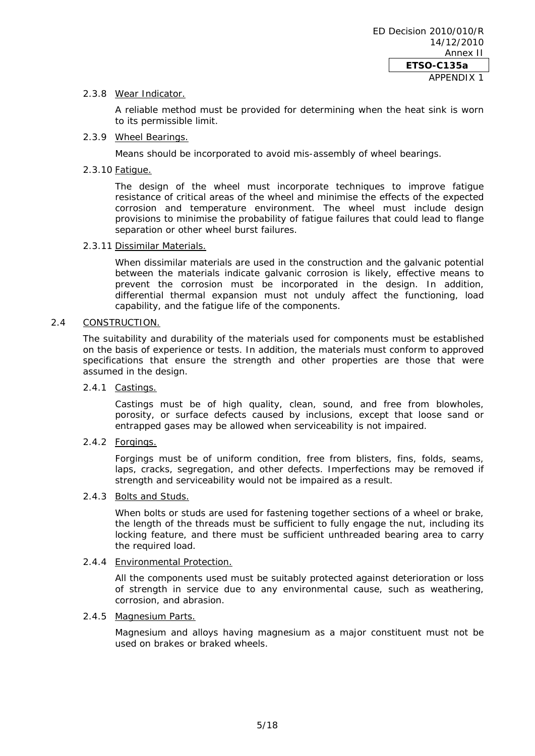# 2.3.8 Wear Indicator.

A reliable method must be provided for determining when the heat sink is worn to its permissible limit.

# 2.3.9 Wheel Bearings.

Means should be incorporated to avoid mis-assembly of wheel bearings.

#### 2.3.10 Fatigue.

The design of the wheel must incorporate techniques to improve fatigue resistance of critical areas of the wheel and minimise the effects of the expected corrosion and temperature environment. The wheel must include design provisions to minimise the probability of fatigue failures that could lead to flange separation or other wheel burst failures.

#### 2.3.11 Dissimilar Materials.

When dissimilar materials are used in the construction and the galvanic potential between the materials indicate galvanic corrosion is likely, effective means to prevent the corrosion must be incorporated in the design. In addition, differential thermal expansion must not unduly affect the functioning, load capability, and the fatigue life of the components.

# 2.4 CONSTRUCTION.

The suitability and durability of the materials used for components must be established on the basis of experience or tests. In addition, the materials must conform to approved specifications that ensure the strength and other properties are those that were assumed in the design.

# 2.4.1 Castings.

Castings must be of high quality, clean, sound, and free from blowholes, porosity, or surface defects caused by inclusions, except that loose sand or entrapped gases may be allowed when serviceability is not impaired.

2.4.2 Forgings.

Forgings must be of uniform condition, free from blisters, fins, folds, seams, laps, cracks, segregation, and other defects. Imperfections may be removed if strength and serviceability would not be impaired as a result.

#### 2.4.3 Bolts and Studs.

When bolts or studs are used for fastening together sections of a wheel or brake, the length of the threads must be sufficient to fully engage the nut, including its locking feature, and there must be sufficient unthreaded bearing area to carry the required load.

# 2.4.4 Environmental Protection.

All the components used must be suitably protected against deterioration or loss of strength in service due to any environmental cause, such as weathering, corrosion, and abrasion.

### 2.4.5 Magnesium Parts.

Magnesium and alloys having magnesium as a major constituent must not be used on brakes or braked wheels.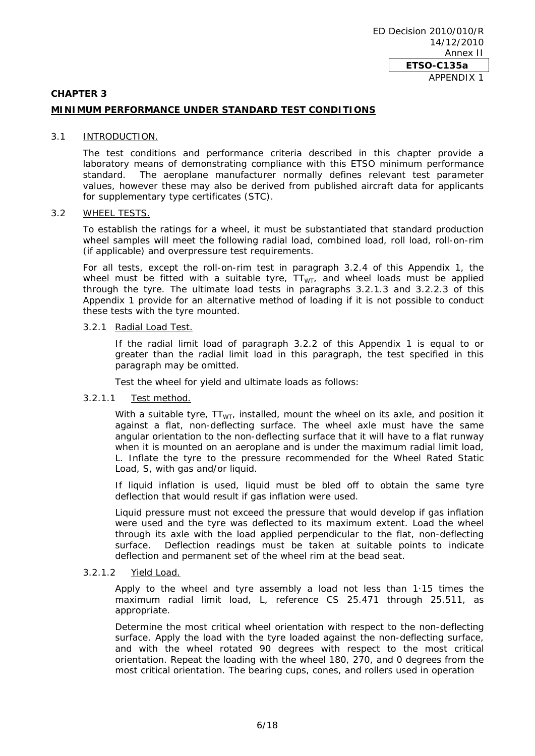#### **CHAPTER 3**

# **MINIMUM PERFORMANCE UNDER STANDARD TEST CONDITIONS**

#### 3.1 INTRODUCTION.

The test conditions and performance criteria described in this chapter provide a laboratory means of demonstrating compliance with this ETSO minimum performance standard. The aeroplane manufacturer normally defines relevant test parameter values, however these may also be derived from published aircraft data for applicants for supplementary type certificates (STC).

#### 3.2 WHEEL TESTS.

To establish the ratings for a wheel, it must be substantiated that standard production wheel samples will meet the following radial load, combined load, roll load, roll-on-rim (if applicable) and overpressure test requirements.

For all tests, except the roll-on-rim test in paragraph 3.2.4 of this Appendix 1, the wheel must be fitted with a suitable tyre,  $TT_{WT}$ , and wheel loads must be applied through the tyre. The ultimate load tests in paragraphs 3.2.1.3 and 3.2.2.3 of this Appendix 1 provide for an alternative method of loading if it is not possible to conduct these tests with the tyre mounted.

#### 3.2.1 Radial Load Test.

If the radial limit load of paragraph 3.2.2 of this Appendix 1 is equal to or greater than the radial limit load in this paragraph, the test specified in this paragraph may be omitted.

Test the wheel for yield and ultimate loads as follows:

#### 3.2.1.1 Test method.

With a suitable tyre,  $TT_{WT}$ , installed, mount the wheel on its axle, and position it against a flat, non-deflecting surface. The wheel axle must have the same angular orientation to the non-deflecting surface that it will have to a flat runway when it is mounted on an aeroplane and is under the maximum radial limit load, L. Inflate the tyre to the pressure recommended for the Wheel Rated Static Load, S, with gas and/or liquid.

If liquid inflation is used, liquid must be bled off to obtain the same tyre deflection that would result if gas inflation were used.

Liquid pressure must not exceed the pressure that would develop if gas inflation were used and the tyre was deflected to its maximum extent. Load the wheel through its axle with the load applied perpendicular to the flat, non-deflecting surface. Deflection readings must be taken at suitable points to indicate deflection and permanent set of the wheel rim at the bead seat.

#### 3.2.1.2 Yield Load.

Apply to the wheel and tyre assembly a load not less than 1·15 times the maximum radial limit load, L, reference CS 25.471 through 25.511, as appropriate.

Determine the most critical wheel orientation with respect to the non-deflecting surface. Apply the load with the tyre loaded against the non-deflecting surface, and with the wheel rotated 90 degrees with respect to the most critical orientation. Repeat the loading with the wheel 180, 270, and 0 degrees from the most critical orientation. The bearing cups, cones, and rollers used in operation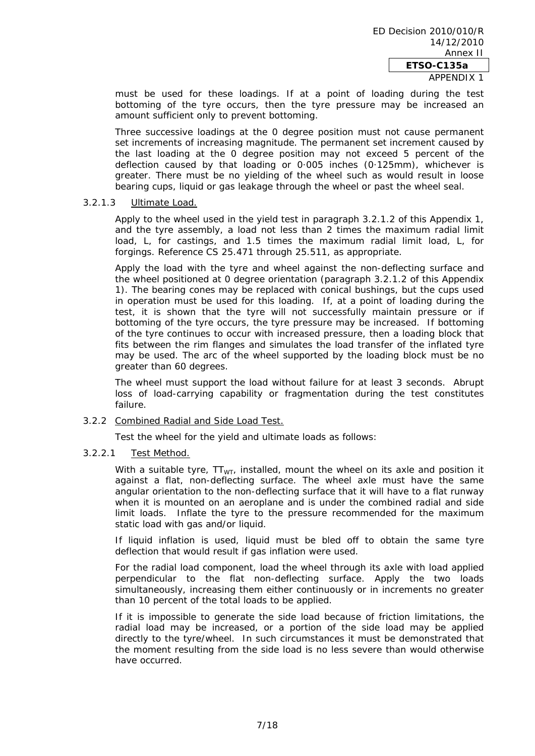APPENDIX 1

must be used for these loadings. If at a point of loading during the test bottoming of the tyre occurs, then the tyre pressure may be increased an amount sufficient only to prevent bottoming.

Three successive loadings at the 0 degree position must not cause permanent set increments of increasing magnitude. The permanent set increment caused by the last loading at the 0 degree position may not exceed 5 percent of the deflection caused by that loading or 0·005 inches (0·125mm), whichever is greater. There must be no yielding of the wheel such as would result in loose bearing cups, liquid or gas leakage through the wheel or past the wheel seal.

## 3.2.1.3 Ultimate Load.

Apply to the wheel used in the yield test in paragraph 3.2.1.2 of this Appendix 1, and the tyre assembly, a load not less than 2 times the maximum radial limit load, L, for castings, and 1.5 times the maximum radial limit load, L, for forgings. Reference CS 25.471 through 25.511, as appropriate.

Apply the load with the tyre and wheel against the non-deflecting surface and the wheel positioned at 0 degree orientation (paragraph 3.2.1.2 of this Appendix 1). The bearing cones may be replaced with conical bushings, but the cups used in operation must be used for this loading. If, at a point of loading during the test, it is shown that the tyre will not successfully maintain pressure or if bottoming of the tyre occurs, the tyre pressure may be increased. If bottoming of the tyre continues to occur with increased pressure, then a loading block that fits between the rim flanges and simulates the load transfer of the inflated tyre may be used. The arc of the wheel supported by the loading block must be no greater than 60 degrees.

The wheel must support the load without failure for at least 3 seconds. Abrupt loss of load-carrying capability or fragmentation during the test constitutes failure.

#### 3.2.2 Combined Radial and Side Load Test.

Test the wheel for the yield and ultimate loads as follows:

#### 3.2.2.1 Test Method.

With a suitable tyre,  $TT_{WT}$ , installed, mount the wheel on its axle and position it against a flat, non-deflecting surface. The wheel axle must have the same angular orientation to the non-deflecting surface that it will have to a flat runway when it is mounted on an aeroplane and is under the combined radial and side limit loads. Inflate the tyre to the pressure recommended for the maximum static load with gas and/or liquid.

If liquid inflation is used, liquid must be bled off to obtain the same tyre deflection that would result if gas inflation were used.

For the radial load component, load the wheel through its axle with load applied perpendicular to the flat non-deflecting surface. Apply the two loads simultaneously, increasing them either continuously or in increments no greater than 10 percent of the total loads to be applied.

If it is impossible to generate the side load because of friction limitations, the radial load may be increased, or a portion of the side load may be applied directly to the tyre/wheel. In such circumstances it must be demonstrated that the moment resulting from the side load is no less severe than would otherwise have occurred.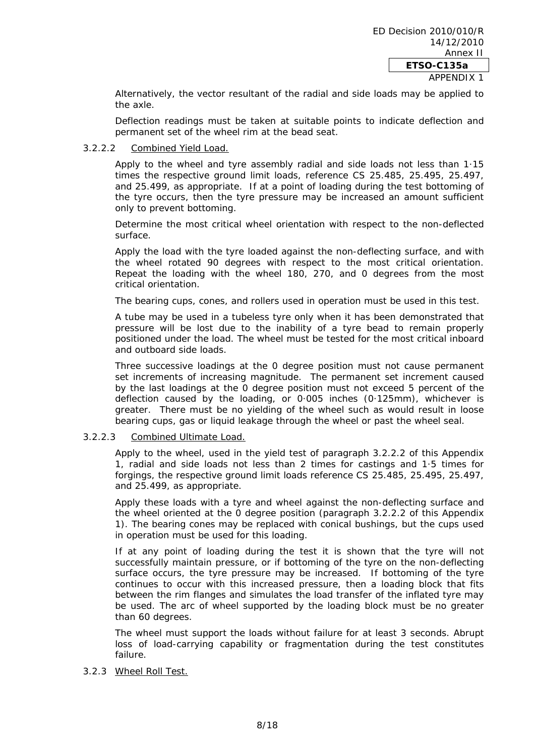Alternatively, the vector resultant of the radial and side loads may be applied to the axle.

Deflection readings must be taken at suitable points to indicate deflection and permanent set of the wheel rim at the bead seat.

# 3.2.2.2 Combined Yield Load.

Apply to the wheel and tyre assembly radial and side loads not less than 1·15 times the respective ground limit loads, reference CS 25.485, 25.495, 25.497, and 25.499, as appropriate. If at a point of loading during the test bottoming of the tyre occurs, then the tyre pressure may be increased an amount sufficient only to prevent bottoming.

Determine the most critical wheel orientation with respect to the non-deflected surface.

Apply the load with the tyre loaded against the non-deflecting surface, and with the wheel rotated 90 degrees with respect to the most critical orientation. Repeat the loading with the wheel 180, 270, and 0 degrees from the most critical orientation.

The bearing cups, cones, and rollers used in operation must be used in this test.

A tube may be used in a tubeless tyre only when it has been demonstrated that pressure will be lost due to the inability of a tyre bead to remain properly positioned under the load. The wheel must be tested for the most critical inboard and outboard side loads.

Three successive loadings at the 0 degree position must not cause permanent set increments of increasing magnitude. The permanent set increment caused by the last loadings at the 0 degree position must not exceed 5 percent of the deflection caused by the loading, or 0·005 inches (0·125mm), whichever is greater. There must be no yielding of the wheel such as would result in loose bearing cups, gas or liquid leakage through the wheel or past the wheel seal.

#### 3.2.2.3 Combined Ultimate Load.

Apply to the wheel, used in the yield test of paragraph 3.2.2.2 of this Appendix 1, radial and side loads not less than 2 times for castings and 1·5 times for forgings, the respective ground limit loads reference CS 25.485, 25.495, 25.497, and 25.499, as appropriate.

Apply these loads with a tyre and wheel against the non-deflecting surface and the wheel oriented at the 0 degree position (paragraph 3.2.2.2 of this Appendix 1). The bearing cones may be replaced with conical bushings, but the cups used in operation must be used for this loading.

If at any point of loading during the test it is shown that the tyre will not successfully maintain pressure, or if bottoming of the tyre on the non-deflecting surface occurs, the tyre pressure may be increased. If bottoming of the tyre continues to occur with this increased pressure, then a loading block that fits between the rim flanges and simulates the load transfer of the inflated tyre may be used. The arc of wheel supported by the loading block must be no greater than 60 degrees.

The wheel must support the loads without failure for at least 3 seconds. Abrupt loss of load-carrying capability or fragmentation during the test constitutes failure.

# 3.2.3 Wheel Roll Test.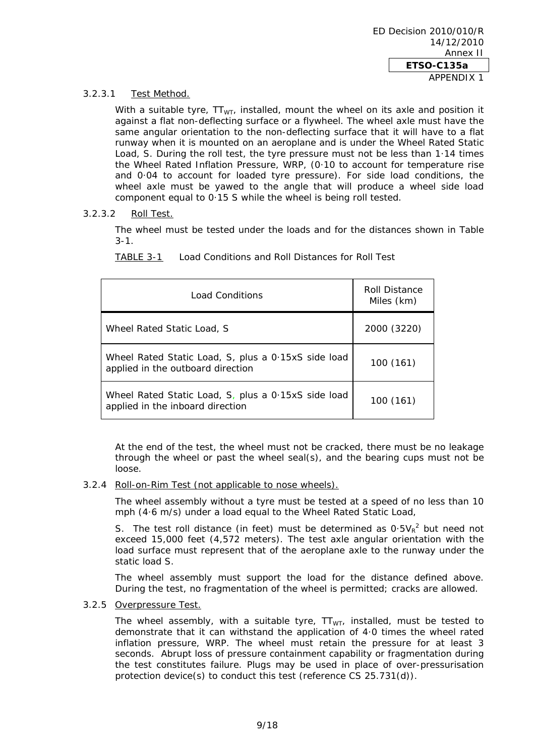# 3.2.3.1 Test Method.

With a suitable tyre,  $TT_{WT}$ , installed, mount the wheel on its axle and position it against a flat non-deflecting surface or a flywheel. The wheel axle must have the same angular orientation to the non-deflecting surface that it will have to a flat runway when it is mounted on an aeroplane and is under the Wheel Rated Static Load, S. During the roll test, the tyre pressure must not be less than 1·14 times the Wheel Rated Inflation Pressure, WRP, (0·10 to account for temperature rise and 0·04 to account for loaded tyre pressure). For side load conditions, the wheel axle must be yawed to the angle that will produce a wheel side load component equal to 0·15 S while the wheel is being roll tested.

# 3.2.3.2 Roll Test.

The wheel must be tested under the loads and for the distances shown in Table 3-1.

| Load Conditions                                                                          | Roll Distance<br>Miles (km) |
|------------------------------------------------------------------------------------------|-----------------------------|
| Wheel Rated Static Load, S.                                                              | 2000 (3220)                 |
| Wheel Rated Static Load, S, plus a 0.15xS side load<br>applied in the outboard direction | 100 (161)                   |
| Wheel Rated Static Load, S, plus a 0.15xS side load<br>applied in the inboard direction  | 100 (161)                   |

TABLE 3-1 Load Conditions and Roll Distances for Roll Test

At the end of the test, the wheel must not be cracked, there must be no leakage through the wheel or past the wheel seal(s), and the bearing cups must not be loose.

# 3.2.4 Roll-on-Rim Test (not applicable to nose wheels).

The wheel assembly without a tyre must be tested at a speed of no less than 10 mph (4·6 m/s) under a load equal to the Wheel Rated Static Load,

S. The test roll distance (in feet) must be determined as  $0.5V_R^2$  but need not exceed 15,000 feet (4,572 meters). The test axle angular orientation with the load surface must represent that of the aeroplane axle to the runway under the static load S.

The wheel assembly must support the load for the distance defined above. During the test, no fragmentation of the wheel is permitted; cracks are allowed.

# 3.2.5 Overpressure Test.

The wheel assembly, with a suitable tyre,  $TT_{WT}$ , installed, must be tested to demonstrate that it can withstand the application of 4·0 times the wheel rated inflation pressure, WRP. The wheel must retain the pressure for at least 3 seconds. Abrupt loss of pressure containment capability or fragmentation during the test constitutes failure. Plugs may be used in place of over-pressurisation protection device(s) to conduct this test (reference CS 25.731(d)).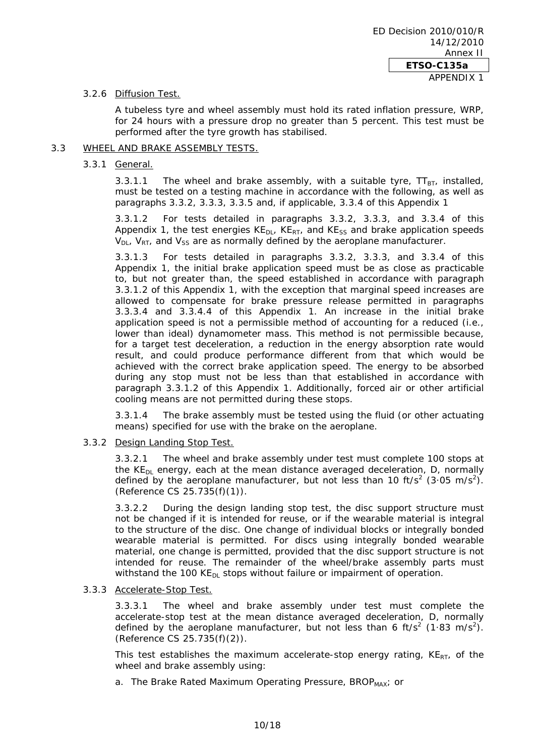# 3.2.6 Diffusion Test.

A tubeless tyre and wheel assembly must hold its rated inflation pressure, WRP, for 24 hours with a pressure drop no greater than 5 percent. This test must be performed after the tyre growth has stabilised.

# 3.3 WHEEL AND BRAKE ASSEMBLY TESTS.

# 3.3.1 General.

3.3.1.1 The wheel and brake assembly, with a suitable tyre,  $TT_{BT}$ , installed, must be tested on a testing machine in accordance with the following, as well as paragraphs 3.3.2, 3.3.3, 3.3.5 and, if applicable, 3.3.4 of this Appendix 1

3.3.1.2 For tests detailed in paragraphs 3.3.2, 3.3.3, and 3.3.4 of this Appendix 1, the test energies  $KE_{DL}$ ,  $KE_{RT}$ , and  $KE_{SS}$  and brake application speeds  $V_{DL}$ ,  $V_{RT}$ , and  $V_{SS}$  are as normally defined by the aeroplane manufacturer.

3.3.1.3 For tests detailed in paragraphs 3.3.2, 3.3.3, and 3.3.4 of this Appendix 1, the initial brake application speed must be as close as practicable to, but not greater than, the speed established in accordance with paragraph 3.3.1.2 of this Appendix 1, with the exception that marginal speed increases are allowed to compensate for brake pressure release permitted in paragraphs 3.3.3.4 and 3.3.4.4 of this Appendix 1. An increase in the initial brake application speed is not a permissible method of accounting for a reduced (i.e., lower than ideal) dynamometer mass. This method is not permissible because, for a target test deceleration, a reduction in the energy absorption rate would result, and could produce performance different from that which would be achieved with the correct brake application speed. The energy to be absorbed during any stop must not be less than that established in accordance with paragraph 3.3.1.2 of this Appendix 1. Additionally, forced air or other artificial cooling means are not permitted during these stops.

3.3.1.4 The brake assembly must be tested using the fluid (or other actuating means) specified for use with the brake on the aeroplane.

3.3.2 Design Landing Stop Test.

3.3.2.1 The wheel and brake assembly under test must complete 100 stops at the  $KE<sub>DI</sub>$  energy, each at the mean distance averaged deceleration, D, normally defined by the aeroplane manufacturer, but not less than 10 ft/s<sup>2</sup> (3.05 m/s<sup>2</sup>). (Reference CS 25.735(f)(1)).

3.3.2.2 During the design landing stop test, the disc support structure must not be changed if it is intended for reuse, or if the wearable material is integral to the structure of the disc. One change of individual blocks or integrally bonded wearable material is permitted. For discs using integrally bonded wearable material, one change is permitted, provided that the disc support structure is not intended for reuse. The remainder of the wheel/brake assembly parts must withstand the 100  $KE<sub>DI</sub>$  stops without failure or impairment of operation.

# 3.3.3 Accelerate-Stop Test.

3.3.3.1 The wheel and brake assembly under test must complete the accelerate-stop test at the mean distance averaged deceleration, D, normally defined by the aeroplane manufacturer, but not less than 6 ft/s<sup>2</sup> (1.83 m/s<sup>2</sup>). (Reference CS 25.735(f)(2)).

This test establishes the maximum accelerate-stop energy rating,  $KE_{RT}$ , of the wheel and brake assembly using:

a. The Brake Rated Maximum Operating Pressure, BROP<sub>MAX</sub>; or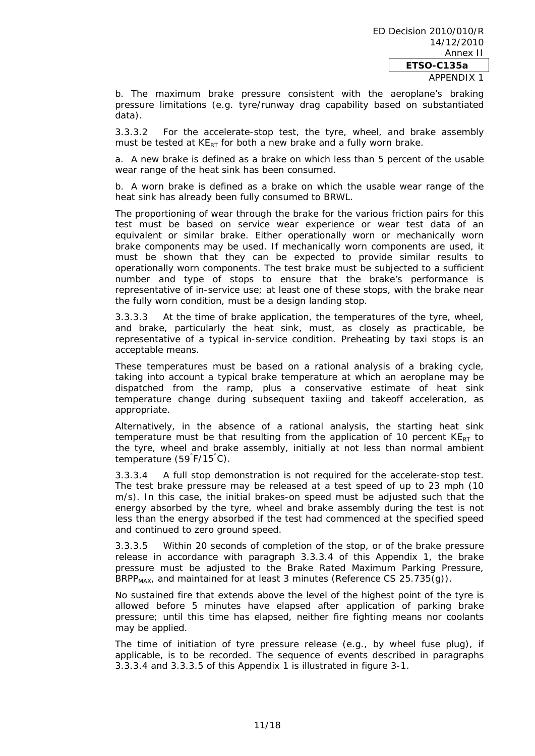APPENDIX 1

b. The maximum brake pressure consistent with the aeroplane's braking pressure limitations (e.g. tyre/runway drag capability based on substantiated data).

3.3.3.2 For the accelerate-stop test, the tyre, wheel, and brake assembly must be tested at  $KE_{RT}$  for both a new brake and a fully worn brake.

a. A new brake is defined as a brake on which less than 5 percent of the usable wear range of the heat sink has been consumed.

b. A worn brake is defined as a brake on which the usable wear range of the heat sink has already been fully consumed to BRWL.

The proportioning of wear through the brake for the various friction pairs for this test must be based on service wear experience or wear test data of an equivalent or similar brake. Either operationally worn or mechanically worn brake components may be used. If mechanically worn components are used, it must be shown that they can be expected to provide similar results to operationally worn components. The test brake must be subjected to a sufficient number and type of stops to ensure that the brake's performance is representative of in-service use; at least one of these stops, with the brake near the fully worn condition, must be a design landing stop.

3.3.3.3 At the time of brake application, the temperatures of the tyre, wheel, and brake, particularly the heat sink, must, as closely as practicable, be representative of a typical in-service condition. Preheating by taxi stops is an acceptable means.

These temperatures must be based on a rational analysis of a braking cycle, taking into account a typical brake temperature at which an aeroplane may be dispatched from the ramp, plus a conservative estimate of heat sink temperature change during subsequent taxiing and takeoff acceleration, as appropriate.

Alternatively, in the absence of a rational analysis, the starting heat sink temperature must be that resulting from the application of 10 percent  $KE_{RT}$  to the tyre, wheel and brake assembly, initially at not less than normal ambient temperature (59° F/15° C).

3.3.3.4 A full stop demonstration is not required for the accelerate-stop test. The test brake pressure may be released at a test speed of up to 23 mph (10 m/s). In this case, the initial brakes-on speed must be adjusted such that the energy absorbed by the tyre, wheel and brake assembly during the test is not less than the energy absorbed if the test had commenced at the specified speed and continued to zero ground speed.

3.3.3.5 Within 20 seconds of completion of the stop, or of the brake pressure release in accordance with paragraph 3.3.3.4 of this Appendix 1, the brake pressure must be adjusted to the Brake Rated Maximum Parking Pressure, BRPP<sub>MAX</sub>, and maintained for at least 3 minutes (Reference CS  $25.735(q)$ ).

No sustained fire that extends above the level of the highest point of the tyre is allowed before 5 minutes have elapsed after application of parking brake pressure; until this time has elapsed, neither fire fighting means nor coolants may be applied.

The time of initiation of tyre pressure release (e.g., by wheel fuse plug), if applicable, is to be recorded. The sequence of events described in paragraphs 3.3.3.4 and 3.3.3.5 of this Appendix 1 is illustrated in figure 3-1.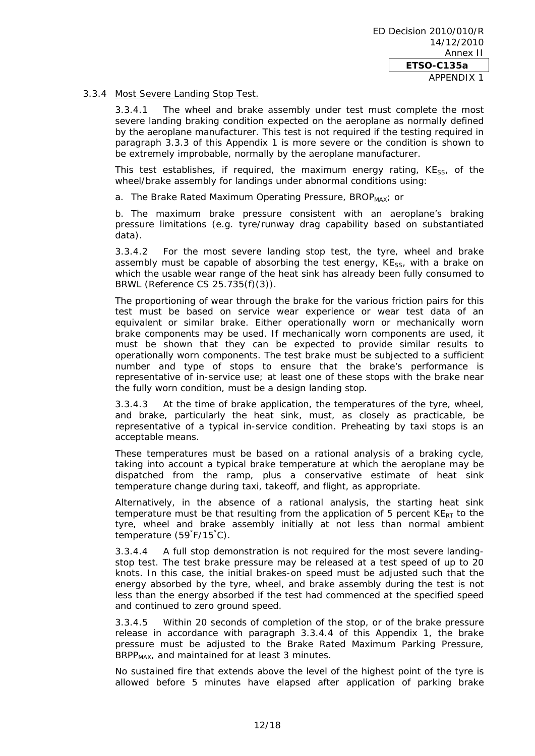# 3.3.4 Most Severe Landing Stop Test.

3.3.4.1 The wheel and brake assembly under test must complete the most severe landing braking condition expected on the aeroplane as normally defined by the aeroplane manufacturer. This test is not required if the testing required in paragraph 3.3.3 of this Appendix 1 is more severe or the condition is shown to be extremely improbable, normally by the aeroplane manufacturer.

This test establishes, if required, the maximum energy rating,  $KE_{SS}$ , of the wheel/brake assembly for landings under abnormal conditions using:

a. The Brake Rated Maximum Operating Pressure, BROP<sub>MAX</sub>; or

b. The maximum brake pressure consistent with an aeroplane's braking pressure limitations (e.g. tyre/runway drag capability based on substantiated data).

3.3.4.2 For the most severe landing stop test, the tyre, wheel and brake assembly must be capable of absorbing the test energy,  $KE_{SS}$ , with a brake on which the usable wear range of the heat sink has already been fully consumed to BRWL (Reference CS 25.735(f)(3)).

The proportioning of wear through the brake for the various friction pairs for this test must be based on service wear experience or wear test data of an equivalent or similar brake. Either operationally worn or mechanically worn brake components may be used. If mechanically worn components are used, it must be shown that they can be expected to provide similar results to operationally worn components. The test brake must be subjected to a sufficient number and type of stops to ensure that the brake's performance is representative of in-service use; at least one of these stops with the brake near the fully worn condition, must be a design landing stop.

3.3.4.3 At the time of brake application, the temperatures of the tyre, wheel, and brake, particularly the heat sink, must, as closely as practicable, be representative of a typical in-service condition. Preheating by taxi stops is an acceptable means.

These temperatures must be based on a rational analysis of a braking cycle, taking into account a typical brake temperature at which the aeroplane may be dispatched from the ramp, plus a conservative estimate of heat sink temperature change during taxi, takeoff, and flight, as appropriate.

Alternatively, in the absence of a rational analysis, the starting heat sink temperature must be that resulting from the application of 5 percent  $KE_{RT}$  to the tyre, wheel and brake assembly initially at not less than normal ambient temperature (59° F/15° C).

3.3.4.4 A full stop demonstration is not required for the most severe landingstop test. The test brake pressure may be released at a test speed of up to 20 knots. In this case, the initial brakes-on speed must be adjusted such that the energy absorbed by the tyre, wheel, and brake assembly during the test is not less than the energy absorbed if the test had commenced at the specified speed and continued to zero ground speed.

3.3.4.5 Within 20 seconds of completion of the stop, or of the brake pressure release in accordance with paragraph 3.3.4.4 of this Appendix 1, the brake pressure must be adjusted to the Brake Rated Maximum Parking Pressure, BRPP<sub>MAX</sub>, and maintained for at least 3 minutes.

No sustained fire that extends above the level of the highest point of the tyre is allowed before 5 minutes have elapsed after application of parking brake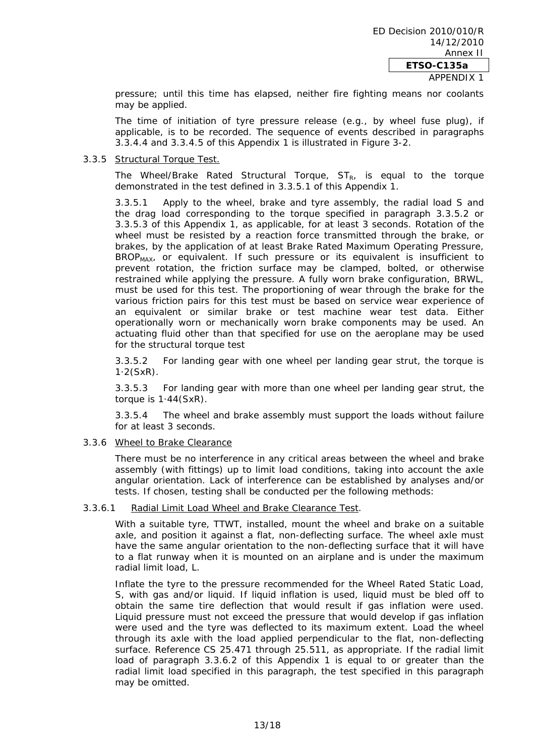pressure; until this time has elapsed, neither fire fighting means nor coolants may be applied.

The time of initiation of tyre pressure release (e.g., by wheel fuse plug), if applicable, is to be recorded. The sequence of events described in paragraphs 3.3.4.4 and 3.3.4.5 of this Appendix 1 is illustrated in Figure 3-2.

#### 3.3.5 Structural Torque Test.

The Wheel/Brake Rated Structural Torque,  $ST_{R}$ , is equal to the torque demonstrated in the test defined in 3.3.5.1 of this Appendix 1.

3.3.5.1 Apply to the wheel, brake and tyre assembly, the radial load S and the drag load corresponding to the torque specified in paragraph 3.3.5.2 or 3.3.5.3 of this Appendix 1, as applicable, for at least 3 seconds. Rotation of the wheel must be resisted by a reaction force transmitted through the brake, or brakes, by the application of at least Brake Rated Maximum Operating Pressure, BROP<sub>MAX</sub>, or equivalent. If such pressure or its equivalent is insufficient to prevent rotation, the friction surface may be clamped, bolted, or otherwise restrained while applying the pressure. A fully worn brake configuration, BRWL, must be used for this test. The proportioning of wear through the brake for the various friction pairs for this test must be based on service wear experience of an equivalent or similar brake or test machine wear test data. Either operationally worn or mechanically worn brake components may be used. An actuating fluid other than that specified for use on the aeroplane may be used for the structural torque test

3.3.5.2 For landing gear with one wheel per landing gear strut, the torque is  $1.2(SxR)$ .

3.3.5.3 For landing gear with more than one wheel per landing gear strut, the torque is 1·44(SxR).

3.3.5.4 The wheel and brake assembly must support the loads without failure for at least 3 seconds.

# 3.3.6 Wheel to Brake Clearance

There must be no interference in any critical areas between the wheel and brake assembly (with fittings) up to limit load conditions, taking into account the axle angular orientation. Lack of interference can be established by analyses and/or tests. If chosen, testing shall be conducted per the following methods:

# 3.3.6.1 Radial Limit Load Wheel and Brake Clearance Test.

With a suitable tyre, TTWT, installed, mount the wheel and brake on a suitable axle, and position it against a flat, non-deflecting surface. The wheel axle must have the same angular orientation to the non-deflecting surface that it will have to a flat runway when it is mounted on an airplane and is under the maximum radial limit load, L.

Inflate the tyre to the pressure recommended for the Wheel Rated Static Load, S, with gas and/or liquid. If liquid inflation is used, liquid must be bled off to obtain the same tire deflection that would result if gas inflation were used. Liquid pressure must not exceed the pressure that would develop if gas inflation were used and the tyre was deflected to its maximum extent. Load the wheel through its axle with the load applied perpendicular to the flat, non-deflecting surface. Reference CS 25.471 through 25.511, as appropriate. If the radial limit load of paragraph 3.3.6.2 of this Appendix 1 is equal to or greater than the radial limit load specified in this paragraph, the test specified in this paragraph may be omitted.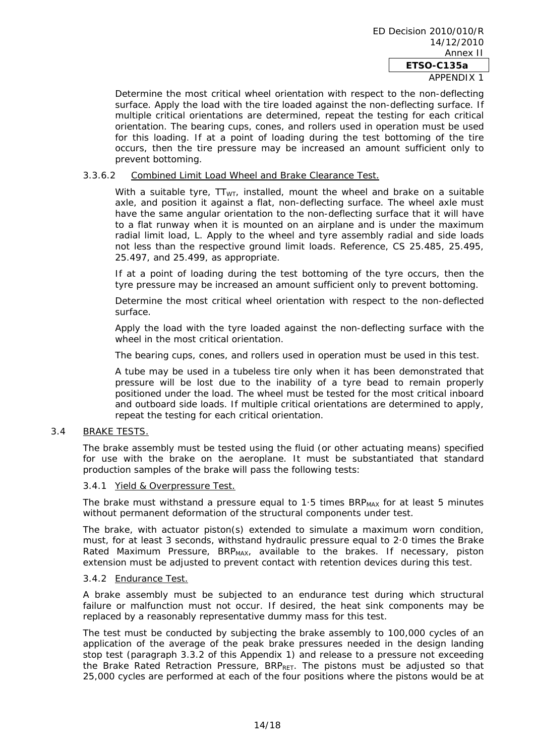# APPENDIX 1

Determine the most critical wheel orientation with respect to the non-deflecting surface. Apply the load with the tire loaded against the non-deflecting surface. If multiple critical orientations are determined, repeat the testing for each critical orientation. The bearing cups, cones, and rollers used in operation must be used for this loading. If at a point of loading during the test bottoming of the tire occurs, then the tire pressure may be increased an amount sufficient only to prevent bottoming.

# 3.3.6.2 Combined Limit Load Wheel and Brake Clearance Test.

With a suitable tyre,  $TT_{WT}$ , installed, mount the wheel and brake on a suitable axle, and position it against a flat, non-deflecting surface. The wheel axle must have the same angular orientation to the non-deflecting surface that it will have to a flat runway when it is mounted on an airplane and is under the maximum radial limit load, L. Apply to the wheel and tyre assembly radial and side loads not less than the respective ground limit loads. Reference, CS 25.485, 25.495, 25.497, and 25.499, as appropriate.

If at a point of loading during the test bottoming of the tyre occurs, then the tyre pressure may be increased an amount sufficient only to prevent bottoming.

Determine the most critical wheel orientation with respect to the non-deflected surface.

Apply the load with the tyre loaded against the non-deflecting surface with the wheel in the most critical orientation.

The bearing cups, cones, and rollers used in operation must be used in this test.

A tube may be used in a tubeless tire only when it has been demonstrated that pressure will be lost due to the inability of a tyre bead to remain properly positioned under the load. The wheel must be tested for the most critical inboard and outboard side loads. If multiple critical orientations are determined to apply, repeat the testing for each critical orientation.

#### 3.4 BRAKE TESTS.

The brake assembly must be tested using the fluid (or other actuating means) specified for use with the brake on the aeroplane. It must be substantiated that standard production samples of the brake will pass the following tests:

#### 3.4.1 Yield & Overpressure Test.

The brake must withstand a pressure equal to  $1.5$  times BRP<sub>MAX</sub> for at least 5 minutes without permanent deformation of the structural components under test.

The brake, with actuator piston(s) extended to simulate a maximum worn condition, must, for at least 3 seconds, withstand hydraulic pressure equal to 2·0 times the Brake Rated Maximum Pressure,  $BR_{MAX}$ , available to the brakes. If necessary, piston extension must be adjusted to prevent contact with retention devices during this test.

#### 3.4.2 Endurance Test.

A brake assembly must be subjected to an endurance test during which structural failure or malfunction must not occur. If desired, the heat sink components may be replaced by a reasonably representative dummy mass for this test.

The test must be conducted by subjecting the brake assembly to 100,000 cycles of an application of the average of the peak brake pressures needed in the design landing stop test (paragraph 3.3.2 of this Appendix 1) and release to a pressure not exceeding the Brake Rated Retraction Pressure,  $BRP_{RET}$ . The pistons must be adjusted so that 25,000 cycles are performed at each of the four positions where the pistons would be at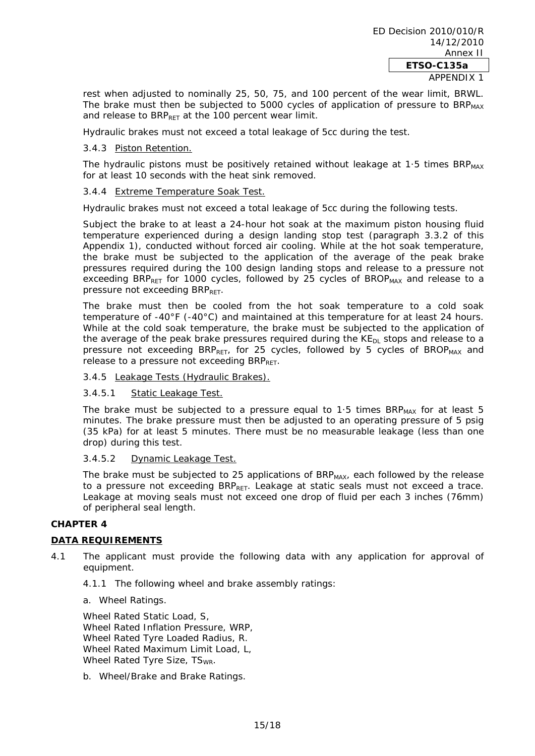rest when adjusted to nominally 25, 50, 75, and 100 percent of the wear limit, BRWL. The brake must then be subjected to 5000 cycles of application of pressure to  $BR_{\text{MAX}}$ and release to BRP<sub>RFT</sub> at the 100 percent wear limit.

Hydraulic brakes must not exceed a total leakage of 5cc during the test.

# 3.4.3 Piston Retention.

The hydraulic pistons must be positively retained without leakage at 1.5 times  $BR_{MAX}$ for at least 10 seconds with the heat sink removed.

#### 3.4.4 Extreme Temperature Soak Test.

Hydraulic brakes must not exceed a total leakage of 5cc during the following tests.

Subject the brake to at least a 24-hour hot soak at the maximum piston housing fluid temperature experienced during a design landing stop test (paragraph 3.3.2 of this Appendix 1), conducted without forced air cooling. While at the hot soak temperature, the brake must be subjected to the application of the average of the peak brake pressures required during the 100 design landing stops and release to a pressure not exceeding BRP<sub>RET</sub> for 1000 cycles, followed by 25 cycles of BROP<sub>MAX</sub> and release to a pressure not exceeding  $BRP_{RFT}$ .

The brake must then be cooled from the hot soak temperature to a cold soak temperature of -40°F (-40°C) and maintained at this temperature for at least 24 hours. While at the cold soak temperature, the brake must be subjected to the application of the average of the peak brake pressures required during the  $KE_{DL}$  stops and release to a pressure not exceeding  $BR_{\text{DET}}$ , for 25 cycles, followed by 5 cycles of  $BROP_{\text{MAX}}$  and release to a pressure not exceeding  $BRP_{RFT}$ .

#### 3.4.5 Leakage Tests (Hydraulic Brakes).

#### 3.4.5.1 Static Leakage Test.

The brake must be subjected to a pressure equal to  $1.5$  times BRP<sub>MAX</sub> for at least  $5$ minutes. The brake pressure must then be adjusted to an operating pressure of 5 psig (35 kPa) for at least 5 minutes. There must be no measurable leakage (less than one drop) during this test.

#### 3.4.5.2 Dynamic Leakage Test.

The brake must be subjected to 25 applications of BRP<sub>MAX</sub>, each followed by the release to a pressure not exceeding  $BRP_{RET}$ . Leakage at static seals must not exceed a trace. Leakage at moving seals must not exceed one drop of fluid per each 3 inches (76mm) of peripheral seal length.

#### **CHAPTER 4**

# **DATA REQUIREMENTS**

- 4.1 The applicant must provide the following data with any application for approval of equipment.
	- 4.1.1 The following wheel and brake assembly ratings:

a. Wheel Ratings.

Wheel Rated Static Load, S, Wheel Rated Inflation Pressure, WRP, Wheel Rated Tyre Loaded Radius, R. Wheel Rated Maximum Limit Load, L, Wheel Rated Tyre Size, TS<sub>WR</sub>.

b. Wheel/Brake and Brake Ratings.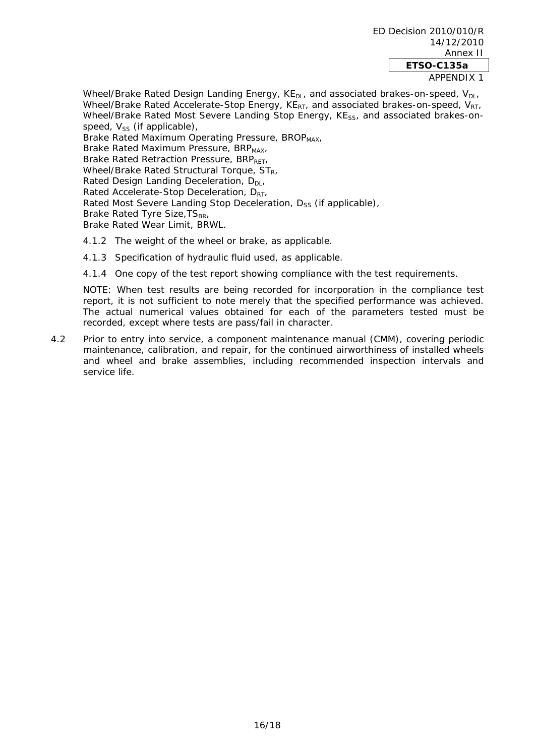Wheel/Brake Rated Design Landing Energy,  $KE<sub>DL</sub>$  and associated brakes-on-speed,  $V<sub>DL</sub>$ Wheel/Brake Rated Accelerate-Stop Energy,  $KE_{RT}$ , and associated brakes-on-speed,  $V_{RT}$ Wheel/Brake Rated Most Severe Landing Stop Energy, KE<sub>ss</sub>, and associated brakes-onspeed,  $V_{SS}$  (if applicable),

Brake Rated Maximum Operating Pressure, BROP<sub>MAX</sub>, Brake Rated Maximum Pressure, BRP<sub>MAX</sub>, Brake Rated Retraction Pressure, BRPRET, Wheel/Brake Rated Structural Torque,  $ST_R$ , Rated Design Landing Deceleration,  $D_{DL}$ Rated Accelerate-Stop Deceleration, D<sub>RT</sub>, Rated Most Severe Landing Stop Deceleration,  $D_{SS}$  (if applicable), Brake Rated Tyre Size, TS<sub>BR</sub>, Brake Rated Wear Limit, BRWL.

- 4.1.2 The weight of the wheel or brake, as applicable.
- 4.1.3 Specification of hydraulic fluid used, as applicable.
- 4.1.4 One copy of the test report showing compliance with the test requirements.

NOTE: When test results are being recorded for incorporation in the compliance test report, it is not sufficient to note merely that the specified performance was achieved. The actual numerical values obtained for each of the parameters tested must be recorded, except where tests are pass/fail in character.

4.2 Prior to entry into service, a component maintenance manual (CMM), covering periodic maintenance, calibration, and repair, for the continued airworthiness of installed wheels and wheel and brake assemblies, including recommended inspection intervals and service life.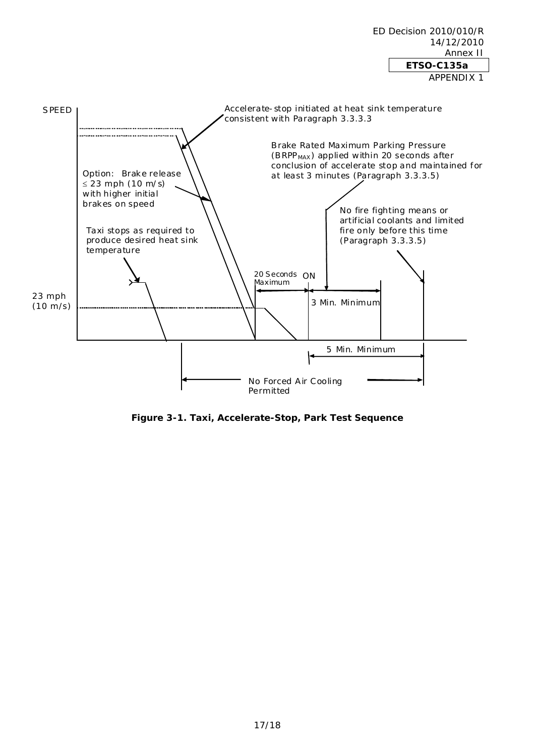

ED Decision 2010/010/R

14/12/2010

**Figure 3-1. Taxi, Accelerate-Stop, Park Test Sequence**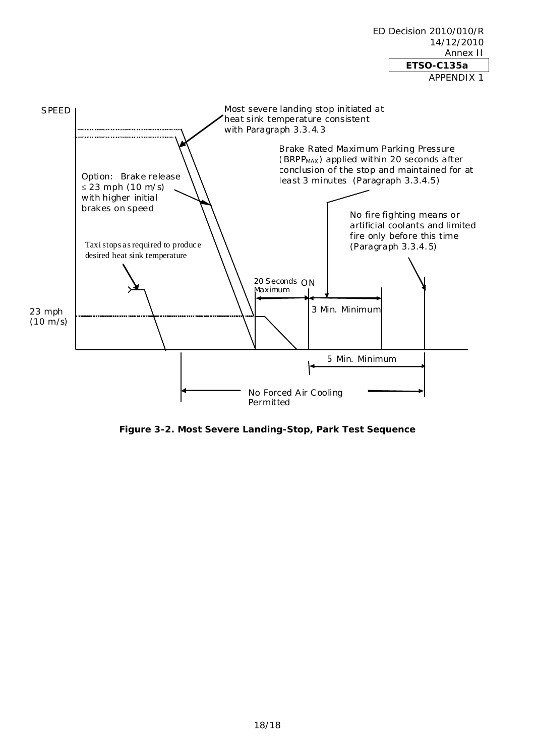# Annex II **ETSO-C135a**  APPENDIX 1 Brake Rated Maximum Parking Pressure (BRPP<sub>MAX</sub>) applied within 20 seconds after conclusion of the stop and maintained for at least 3 minutes (Paragraph 3.3.4.5) No Forced Air Cooling Permitted 3 Min. Minimum 5 Min. Minimum 20 Seconds ON No fire fighting means or artificial coolants and limited fire only before this time (Paragraph 3.3.4.5) SPEED Taxi stops as required to produce desired heat sink temperature Most severe landing stop initiated at heat sink temperature consistent with Paragraph 3.3.4.3 23 mph (10 m/s) Maximum Option: Brake release  $\leq$  23 mph (10 m/s) with higher initial brakes on speed

ED Decision 2010/010/R

14/12/2010

**Figure 3-2. Most Severe Landing-Stop, Park Test Sequence**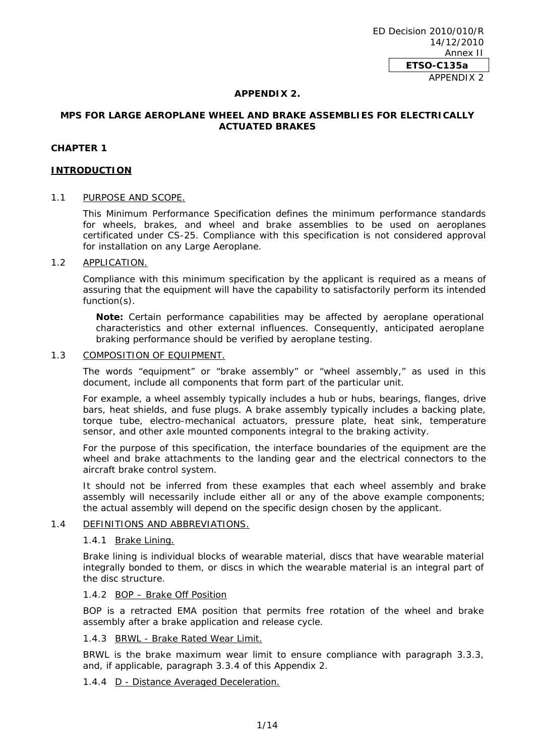ED Decision 2010/010/R 14/12/2010 Annex II **ETSO-C135a**  APPENDIX 2

#### **APPENDIX 2.**

# **MPS FOR LARGE AEROPLANE WHEEL AND BRAKE ASSEMBLIES FOR ELECTRICALLY ACTUATED BRAKES**

### **CHAPTER 1**

#### **INTRODUCTION**

#### 1.1 PURPOSE AND SCOPE.

This Minimum Performance Specification defines the minimum performance standards for wheels, brakes, and wheel and brake assemblies to be used on aeroplanes certificated under CS-25. Compliance with this specification is not considered approval for installation on any Large Aeroplane.

#### 1.2 APPLICATION.

Compliance with this minimum specification by the applicant is required as a means of assuring that the equipment will have the capability to satisfactorily perform its intended function(s).

**Note:** Certain performance capabilities may be affected by aeroplane operational characteristics and other external influences. Consequently, anticipated aeroplane braking performance should be verified by aeroplane testing.

#### 1.3 COMPOSITION OF EQUIPMENT.

The words "equipment" or "brake assembly" or "wheel assembly," as used in this document, include all components that form part of the particular unit.

For example, a wheel assembly typically includes a hub or hubs, bearings, flanges, drive bars, heat shields, and fuse plugs. A brake assembly typically includes a backing plate, torque tube, electro-mechanical actuators, pressure plate, heat sink, temperature sensor, and other axle mounted components integral to the braking activity.

For the purpose of this specification, the interface boundaries of the equipment are the wheel and brake attachments to the landing gear and the electrical connectors to the aircraft brake control system.

It should not be inferred from these examples that each wheel assembly and brake assembly will necessarily include either all or any of the above example components; the actual assembly will depend on the specific design chosen by the applicant.

#### 1.4 DEFINITIONS AND ABBREVIATIONS.

#### 1.4.1 Brake Lining.

Brake lining is individual blocks of wearable material, discs that have wearable material integrally bonded to them, or discs in which the wearable material is an integral part of the disc structure.

# 1.4.2 BOP – Brake Off Position

BOP is a retracted EMA position that permits free rotation of the wheel and brake assembly after a brake application and release cycle.

#### 1.4.3 BRWL - Brake Rated Wear Limit.

BRWL is the brake maximum wear limit to ensure compliance with paragraph 3.3.3, and, if applicable, paragraph 3.3.4 of this Appendix 2.

# 1.4.4 D - Distance Averaged Deceleration.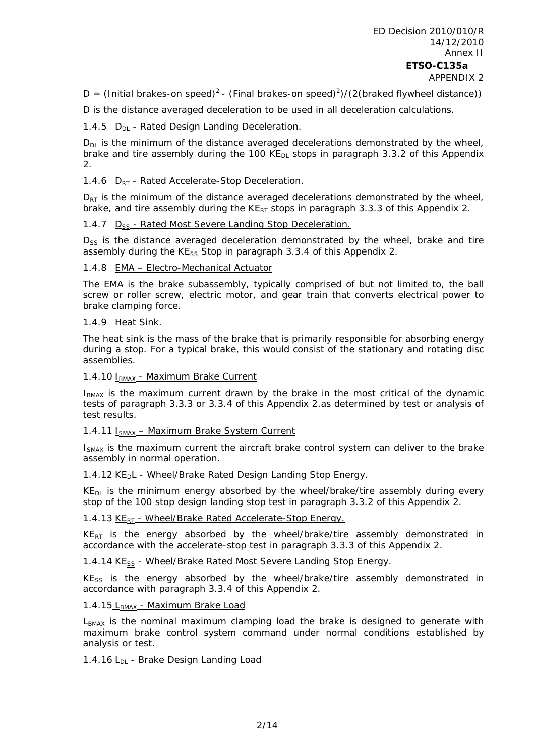D = (Initial brakes-on speed)<sup>2</sup> - (Final brakes-on speed)<sup>2</sup>)/(2(braked flywheel distance))

D is the distance averaged deceleration to be used in all deceleration calculations.

1.4.5 D<sub>DL</sub> - Rated Design Landing Deceleration.

 $D_{DL}$  is the minimum of the distance averaged decelerations demonstrated by the wheel, brake and tire assembly during the 100 KE<sub>DL</sub> stops in paragraph 3.3.2 of this Appendix  $\mathcal{L}$ 

# 1.4.6 D<sub>RT</sub> - Rated Accelerate-Stop Deceleration.

 $D_{RT}$  is the minimum of the distance averaged decelerations demonstrated by the wheel, brake, and tire assembly during the  $KE_{RT}$  stops in paragraph 3.3.3 of this Appendix 2.

#### 1.4.7 D<sub>SS</sub> - Rated Most Severe Landing Stop Deceleration.

 $D_{SS}$  is the distance averaged deceleration demonstrated by the wheel, brake and tire assembly during the  $KE_{SS}$  Stop in paragraph 3.3.4 of this Appendix 2.

#### 1.4.8 EMA – Electro-Mechanical Actuator

The EMA is the brake subassembly, typically comprised of but not limited to, the ball screw or roller screw, electric motor, and gear train that converts electrical power to brake clamping force.

#### 1.4.9 Heat Sink.

The heat sink is the mass of the brake that is primarily responsible for absorbing energy during a stop. For a typical brake, this would consist of the stationary and rotating disc assemblies.

#### 1.4.10 I<sub>BMAX</sub> - Maximum Brake Current

 $I<sub>BMAX</sub>$  is the maximum current drawn by the brake in the most critical of the dynamic tests of paragraph 3.3.3 or 3.3.4 of this Appendix 2.as determined by test or analysis of test results.

#### 1.4.11 I<sub>SMAX</sub> - Maximum Brake System Current

I<sub>SMAX</sub> is the maximum current the aircraft brake control system can deliver to the brake assembly in normal operation.

#### 1.4.12 KE<sub>D</sub>L - Wheel/Brake Rated Design Landing Stop Energy.

 $KE<sub>DI</sub>$  is the minimum energy absorbed by the wheel/brake/tire assembly during every stop of the 100 stop design landing stop test in paragraph 3.3.2 of this Appendix 2.

#### 1.4.13 KE<sub>RT</sub> - Wheel/Brake Rated Accelerate-Stop Energy.

 $KE_{RT}$  is the energy absorbed by the wheel/brake/tire assembly demonstrated in accordance with the accelerate-stop test in paragraph 3.3.3 of this Appendix 2.

# 1.4.14 KE<sub>SS</sub> - Wheel/Brake Rated Most Severe Landing Stop Energy.

 $KE_{SS}$  is the energy absorbed by the wheel/brake/tire assembly demonstrated in accordance with paragraph 3.3.4 of this Appendix 2.

#### 1.4.15 LBMAX - Maximum Brake Load

L<sub>BMAX</sub> is the nominal maximum clamping load the brake is designed to generate with maximum brake control system command under normal conditions established by analysis or test.

#### 1.4.16  $L_{DI}$  - Brake Design Landing Load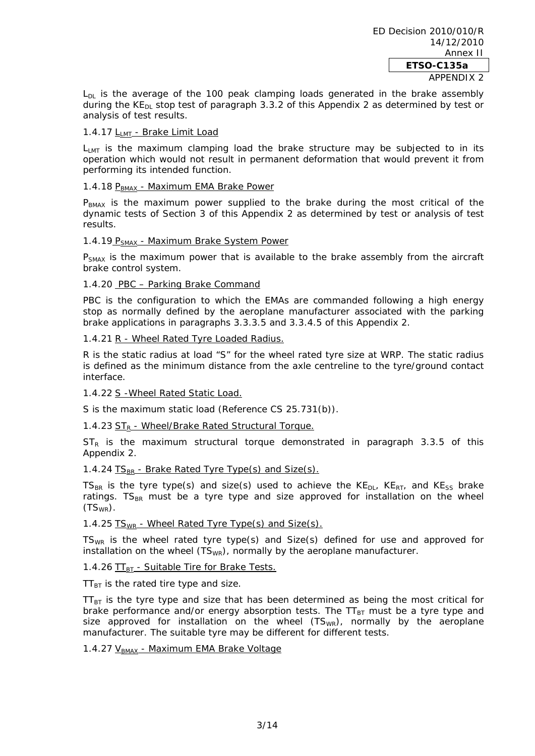$L_{DL}$  is the average of the 100 peak clamping loads generated in the brake assembly during the  $KE_{DL}$  stop test of paragraph 3.3.2 of this Appendix 2 as determined by test or analysis of test results.

# 1.4.17 L<sub>LMT</sub> - Brake Limit Load

 $L_{\text{LMT}}$  is the maximum clamping load the brake structure may be subjected to in its operation which would not result in permanent deformation that would prevent it from performing its intended function.

#### 1.4.18 PBMAX - Maximum EMA Brake Power

 $P<sub>BMAX</sub>$  is the maximum power supplied to the brake during the most critical of the dynamic tests of Section 3 of this Appendix 2 as determined by test or analysis of test results.

#### 1.4.19  $P_{SMAX}$  - Maximum Brake System Power

 $P_{SMAX}$  is the maximum power that is available to the brake assembly from the aircraft brake control system.

#### 1.4.20 PBC – Parking Brake Command

PBC is the configuration to which the EMAs are commanded following a high energy stop as normally defined by the aeroplane manufacturer associated with the parking brake applications in paragraphs 3.3.3.5 and 3.3.4.5 of this Appendix 2.

#### 1.4.21 R - Wheel Rated Tyre Loaded Radius.

R is the static radius at load "S" for the wheel rated tyre size at WRP. The static radius is defined as the minimum distance from the axle centreline to the tyre/ground contact interface.

# 1.4.22 S -Wheel Rated Static Load.

S is the maximum static load (Reference CS 25.731(b)).

# 1.4.23  $ST_R$  - Wheel/Brake Rated Structural Torque.

 $ST_R$  is the maximum structural torque demonstrated in paragraph 3.3.5 of this Appendix 2.

#### 1.4.24  $TS_{BR}$  - Brake Rated Tyre Type(s) and Size(s).

TS<sub>BR</sub> is the tyre type(s) and size(s) used to achieve the  $KE_{DL}$ ,  $KE_{RT}$ , and  $KE_{SS}$  brake ratings.  $TS_{BB}$  must be a tyre type and size approved for installation on the wheel  $(TS_{WR})$ .

# 1.4.25  $TS_{WR}$  - Wheel Rated Tyre Type(s) and Size(s).

 $TS_{WR}$  is the wheel rated tyre type(s) and Size(s) defined for use and approved for installation on the wheel  $(TS_{WR})$ , normally by the aeroplane manufacturer.

# 1.4.26  $TT_{BT}$  - Suitable Tire for Brake Tests.

 $TT_{BT}$  is the rated tire type and size.

 $TT_{BT}$  is the tyre type and size that has been determined as being the most critical for brake performance and/or energy absorption tests. The  $TT_{BT}$  must be a tyre type and size approved for installation on the wheel  $(TS_{WR})$ , normally by the aeroplane manufacturer. The suitable tyre may be different for different tests.

# 1.4.27 V<sub>BMAX</sub> - Maximum EMA Brake Voltage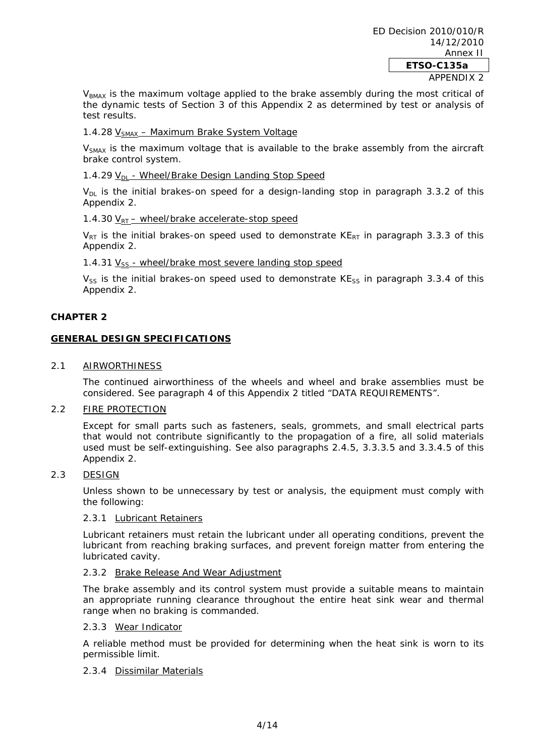$V<sub>BMAX</sub>$  is the maximum voltage applied to the brake assembly during the most critical of the dynamic tests of Section 3 of this Appendix 2 as determined by test or analysis of test results.

# 1.4.28 V<sub>SMAX</sub> - Maximum Brake System Voltage

 $V<sub>SMAX</sub>$  is the maximum voltage that is available to the brake assembly from the aircraft brake control system.

# 1.4.29  $V_{\text{DL}}$  - Wheel/Brake Design Landing Stop Speed

 $V_{\text{DL}}$  is the initial brakes-on speed for a design-landing stop in paragraph 3.3.2 of this Appendix 2.

# 1.4.30  $V_{RT}$  – wheel/brake accelerate-stop speed

 $V_{RT}$  is the initial brakes-on speed used to demonstrate KE<sub>RT</sub> in paragraph 3.3.3 of this Appendix 2.

#### 1.4.31  $V_{ss}$  - wheel/brake most severe landing stop speed

 $V_{SS}$  is the initial brakes-on speed used to demonstrate KE<sub>SS</sub> in paragraph 3.3.4 of this Appendix 2.

# **CHAPTER 2**

# **GENERAL DESIGN SPECIFICATIONS**

#### 2.1 AIRWORTHINESS

The continued airworthiness of the wheels and wheel and brake assemblies must be considered. See paragraph 4 of this Appendix 2 titled "DATA REQUIREMENTS".

# 2.2 FIRE PROTECTION

Except for small parts such as fasteners, seals, grommets, and small electrical parts that would not contribute significantly to the propagation of a fire, all solid materials used must be self-extinguishing. See also paragraphs 2.4.5, 3.3.3.5 and 3.3.4.5 of this Appendix 2.

#### 2.3 DESIGN

Unless shown to be unnecessary by test or analysis, the equipment must comply with the following:

#### 2.3.1 Lubricant Retainers

Lubricant retainers must retain the lubricant under all operating conditions, prevent the lubricant from reaching braking surfaces, and prevent foreign matter from entering the lubricated cavity.

#### 2.3.2 Brake Release And Wear Adjustment

The brake assembly and its control system must provide a suitable means to maintain an appropriate running clearance throughout the entire heat sink wear and thermal range when no braking is commanded.

# 2.3.3 Wear Indicator

A reliable method must be provided for determining when the heat sink is worn to its permissible limit.

#### 2.3.4 Dissimilar Materials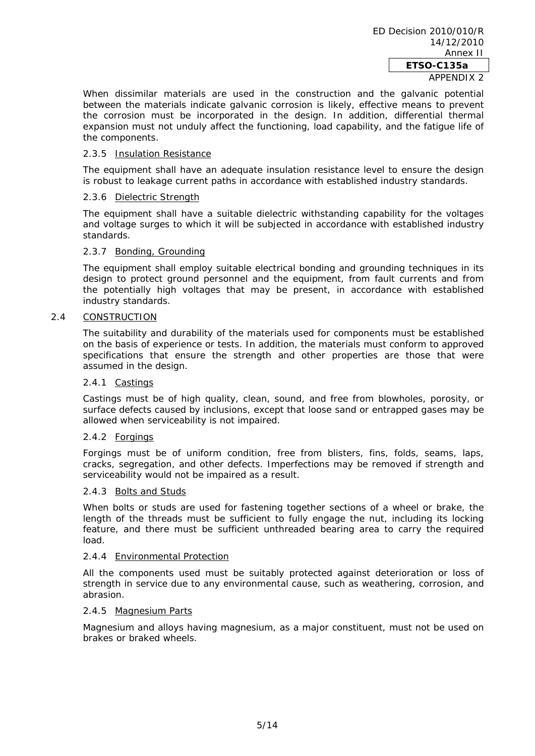APPENDIX 2

When dissimilar materials are used in the construction and the galvanic potential between the materials indicate galvanic corrosion is likely, effective means to prevent the corrosion must be incorporated in the design. In addition, differential thermal expansion must not unduly affect the functioning, load capability, and the fatigue life of the components.

#### 2.3.5 Insulation Resistance

The equipment shall have an adequate insulation resistance level to ensure the design is robust to leakage current paths in accordance with established industry standards.

#### 2.3.6 Dielectric Strength

The equipment shall have a suitable dielectric withstanding capability for the voltages and voltage surges to which it will be subjected in accordance with established industry standards.

#### 2.3.7 Bonding, Grounding

The equipment shall employ suitable electrical bonding and grounding techniques in its design to protect ground personnel and the equipment, from fault currents and from the potentially high voltages that may be present, in accordance with established industry standards.

### 2.4 CONSTRUCTION

The suitability and durability of the materials used for components must be established on the basis of experience or tests. In addition, the materials must conform to approved specifications that ensure the strength and other properties are those that were assumed in the design.

#### 2.4.1 Castings

Castings must be of high quality, clean, sound, and free from blowholes, porosity, or surface defects caused by inclusions, except that loose sand or entrapped gases may be allowed when serviceability is not impaired.

#### 2.4.2 Forgings

Forgings must be of uniform condition, free from blisters, fins, folds, seams, laps, cracks, segregation, and other defects. Imperfections may be removed if strength and serviceability would not be impaired as a result.

#### 2.4.3 Bolts and Studs

When bolts or studs are used for fastening together sections of a wheel or brake, the length of the threads must be sufficient to fully engage the nut, including its locking feature, and there must be sufficient unthreaded bearing area to carry the required load.

# 2.4.4 Environmental Protection

All the components used must be suitably protected against deterioration or loss of strength in service due to any environmental cause, such as weathering, corrosion, and abrasion.

#### 2.4.5 Magnesium Parts

Magnesium and alloys having magnesium, as a major constituent, must not be used on brakes or braked wheels.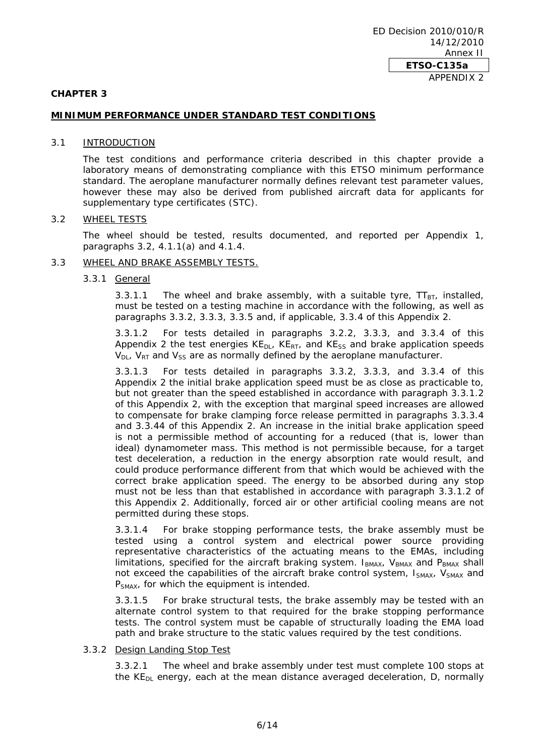#### **CHAPTER 3**

# **MINIMUM PERFORMANCE UNDER STANDARD TEST CONDITIONS**

#### 3.1 INTRODUCTION

The test conditions and performance criteria described in this chapter provide a laboratory means of demonstrating compliance with this ETSO minimum performance standard. The aeroplane manufacturer normally defines relevant test parameter values, however these may also be derived from published aircraft data for applicants for supplementary type certificates (STC).

#### 3.2 WHEEL TESTS

The wheel should be tested, results documented, and reported per Appendix 1, paragraphs 3.2, 4.1.1(a) and 4.1.4.

#### 3.3 WHEEL AND BRAKE ASSEMBLY TESTS.

#### 3.3.1 General

3.3.1.1 The wheel and brake assembly, with a suitable tyre,  $TT_{BT}$ , installed, must be tested on a testing machine in accordance with the following, as well as paragraphs 3.3.2, 3.3.3, 3.3.5 and, if applicable, 3.3.4 of this Appendix 2.

3.3.1.2 For tests detailed in paragraphs 3.2.2, 3.3.3, and 3.3.4 of this Appendix 2 the test energies  $KE_{DL}$ ,  $KE_{RT}$ , and  $KE_{SS}$  and brake application speeds  $V_{DL}$ ,  $V_{RT}$  and  $V_{SS}$  are as normally defined by the aeroplane manufacturer.

3.3.1.3 For tests detailed in paragraphs 3.3.2, 3.3.3, and 3.3.4 of this Appendix 2 the initial brake application speed must be as close as practicable to, but not greater than the speed established in accordance with paragraph 3.3.1.2 of this Appendix 2, with the exception that marginal speed increases are allowed to compensate for brake clamping force release permitted in paragraphs 3.3.3.4 and 3.3.44 of this Appendix 2. An increase in the initial brake application speed is not a permissible method of accounting for a reduced (that is, lower than ideal) dynamometer mass. This method is not permissible because, for a target test deceleration, a reduction in the energy absorption rate would result, and could produce performance different from that which would be achieved with the correct brake application speed. The energy to be absorbed during any stop must not be less than that established in accordance with paragraph 3.3.1.2 of this Appendix 2. Additionally, forced air or other artificial cooling means are not permitted during these stops.

3.3.1.4 For brake stopping performance tests, the brake assembly must be tested using a control system and electrical power source providing representative characteristics of the actuating means to the EMAs, including limitations, specified for the aircraft braking system.  $I_{BMAX}$ ,  $V_{BMAX}$  and  $P_{BMAX}$  shall not exceed the capabilities of the aircraft brake control system,  $I<sub>SMAX</sub>$ ,  $V<sub>SMAX</sub>$  and P<sub>SMAX</sub>, for which the equipment is intended.

3.3.1.5 For brake structural tests, the brake assembly may be tested with an alternate control system to that required for the brake stopping performance tests. The control system must be capable of structurally loading the EMA load path and brake structure to the static values required by the test conditions.

# 3.3.2 Design Landing Stop Test

3.3.2.1 The wheel and brake assembly under test must complete 100 stops at the  $KE<sub>DL</sub>$  energy, each at the mean distance averaged deceleration, D, normally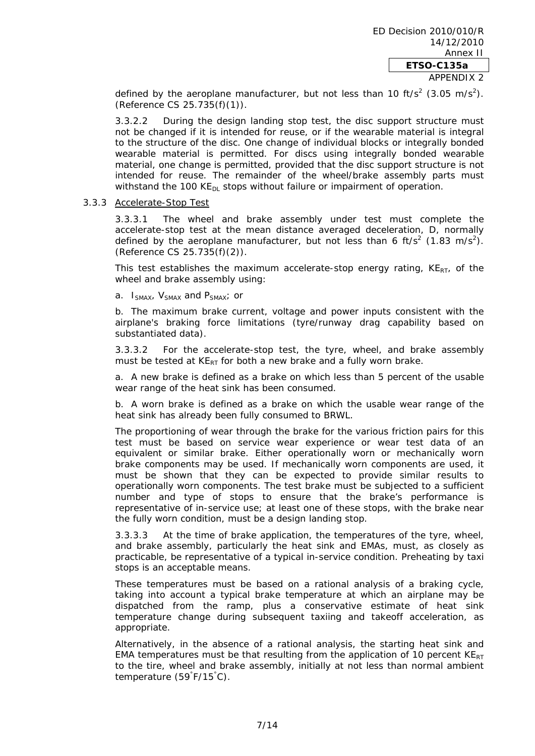APPENDIX 2

defined by the aeroplane manufacturer, but not less than 10 ft/s<sup>2</sup> (3.05 m/s<sup>2</sup>). (Reference CS 25.735(f)(1)).

3.3.2.2 During the design landing stop test, the disc support structure must not be changed if it is intended for reuse, or if the wearable material is integral to the structure of the disc. One change of individual blocks or integrally bonded wearable material is permitted. For discs using integrally bonded wearable material, one change is permitted, provided that the disc support structure is not intended for reuse. The remainder of the wheel/brake assembly parts must withstand the 100 KE $_{\text{DL}}$  stops without failure or impairment of operation.

#### 3.3.3 Accelerate-Stop Test

3.3.3.1 The wheel and brake assembly under test must complete the accelerate-stop test at the mean distance averaged deceleration, D, normally defined by the aeroplane manufacturer, but not less than 6 ft/s<sup>2</sup> (1.83 m/s<sup>2</sup>). (Reference CS 25.735(f)(2)).

This test establishes the maximum accelerate-stop energy rating,  $KE_{RT}$ , of the wheel and brake assembly using:

a.  $I_{SMAX}$ ,  $V_{SMAX}$  and  $P_{SMAX}$ ; or

b. The maximum brake current, voltage and power inputs consistent with the airplane's braking force limitations (tyre/runway drag capability based on substantiated data).

3.3.3.2 For the accelerate-stop test, the tyre, wheel, and brake assembly must be tested at  $KE_{RT}$  for both a new brake and a fully worn brake.

a. A new brake is defined as a brake on which less than 5 percent of the usable wear range of the heat sink has been consumed.

b. A worn brake is defined as a brake on which the usable wear range of the heat sink has already been fully consumed to BRWL.

The proportioning of wear through the brake for the various friction pairs for this test must be based on service wear experience or wear test data of an equivalent or similar brake. Either operationally worn or mechanically worn brake components may be used. If mechanically worn components are used, it must be shown that they can be expected to provide similar results to operationally worn components. The test brake must be subjected to a sufficient number and type of stops to ensure that the brake's performance is representative of in-service use; at least one of these stops, with the brake near the fully worn condition, must be a design landing stop.

3.3.3.3 At the time of brake application, the temperatures of the tyre, wheel, and brake assembly, particularly the heat sink and EMAs, must, as closely as practicable, be representative of a typical in-service condition. Preheating by taxi stops is an acceptable means.

These temperatures must be based on a rational analysis of a braking cycle, taking into account a typical brake temperature at which an airplane may be dispatched from the ramp, plus a conservative estimate of heat sink temperature change during subsequent taxiing and takeoff acceleration, as appropriate.

Alternatively, in the absence of a rational analysis, the starting heat sink and EMA temperatures must be that resulting from the application of 10 percent  $KE_{RT}$ to the tire, wheel and brake assembly, initially at not less than normal ambient temperature (59° F/15° C).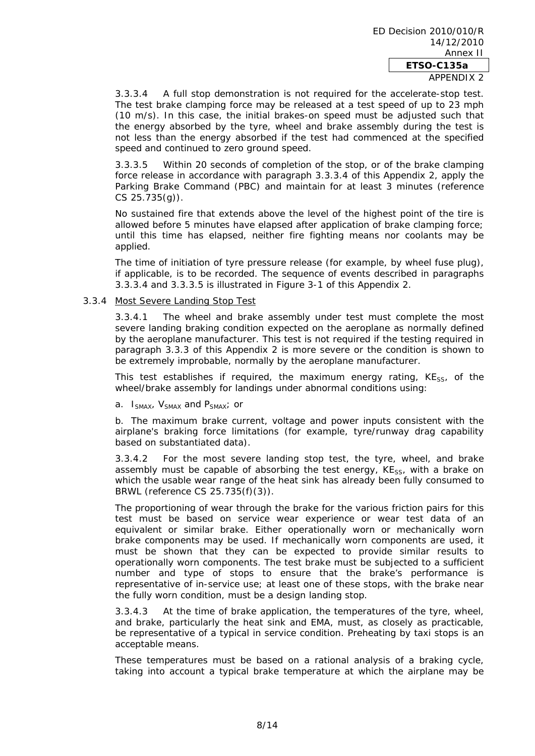#### APPENDIX 2

3.3.3.4 A full stop demonstration is not required for the accelerate-stop test. The test brake clamping force may be released at a test speed of up to 23 mph (10 m/s). In this case, the initial brakes-on speed must be adjusted such that the energy absorbed by the tyre, wheel and brake assembly during the test is not less than the energy absorbed if the test had commenced at the specified speed and continued to zero ground speed.

3.3.3.5 Within 20 seconds of completion of the stop, or of the brake clamping force release in accordance with paragraph 3.3.3.4 of this Appendix 2, apply the Parking Brake Command (PBC) and maintain for at least 3 minutes (reference CS 25.735(g)).

No sustained fire that extends above the level of the highest point of the tire is allowed before 5 minutes have elapsed after application of brake clamping force; until this time has elapsed, neither fire fighting means nor coolants may be applied.

The time of initiation of tyre pressure release (for example, by wheel fuse plug), if applicable, is to be recorded. The sequence of events described in paragraphs 3.3.3.4 and 3.3.3.5 is illustrated in Figure 3-1 of this Appendix 2.

#### 3.3.4 Most Severe Landing Stop Test

3.3.4.1 The wheel and brake assembly under test must complete the most severe landing braking condition expected on the aeroplane as normally defined by the aeroplane manufacturer. This test is not required if the testing required in paragraph 3.3.3 of this Appendix 2 is more severe or the condition is shown to be extremely improbable, normally by the aeroplane manufacturer.

This test establishes if required, the maximum energy rating,  $KE_{SS}$ , of the wheel/brake assembly for landings under abnormal conditions using:

a.  $I_{SMAX}$ ,  $V_{SMAX}$  and  $P_{SMAX}$ ; or

b. The maximum brake current, voltage and power inputs consistent with the airplane's braking force limitations (for example, tyre/runway drag capability based on substantiated data).

3.3.4.2 For the most severe landing stop test, the tyre, wheel, and brake assembly must be capable of absorbing the test energy,  $KE_{SS}$ , with a brake on which the usable wear range of the heat sink has already been fully consumed to BRWL (reference CS 25.735(f)(3)).

The proportioning of wear through the brake for the various friction pairs for this test must be based on service wear experience or wear test data of an equivalent or similar brake. Either operationally worn or mechanically worn brake components may be used. If mechanically worn components are used, it must be shown that they can be expected to provide similar results to operationally worn components. The test brake must be subjected to a sufficient number and type of stops to ensure that the brake's performance is representative of in-service use; at least one of these stops, with the brake near the fully worn condition, must be a design landing stop.

3.3.4.3 At the time of brake application, the temperatures of the tyre, wheel, and brake, particularly the heat sink and EMA, must, as closely as practicable, be representative of a typical in service condition. Preheating by taxi stops is an acceptable means.

These temperatures must be based on a rational analysis of a braking cycle, taking into account a typical brake temperature at which the airplane may be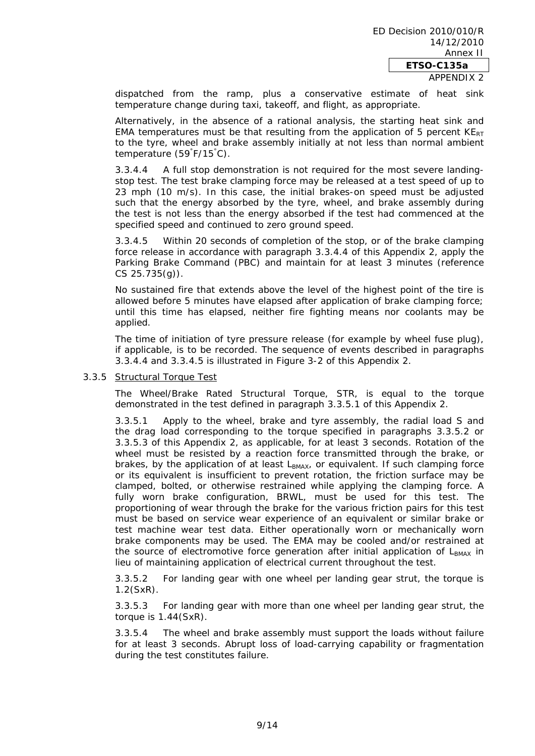dispatched from the ramp, plus a conservative estimate of heat sink temperature change during taxi, takeoff, and flight, as appropriate.

Alternatively, in the absence of a rational analysis, the starting heat sink and EMA temperatures must be that resulting from the application of 5 percent  $KE_{RT}$ to the tyre, wheel and brake assembly initially at not less than normal ambient temperature (59° F/15° C).

3.3.4.4 A full stop demonstration is not required for the most severe landingstop test. The test brake clamping force may be released at a test speed of up to 23 mph (10 m/s). In this case, the initial brakes-on speed must be adjusted such that the energy absorbed by the tyre, wheel, and brake assembly during the test is not less than the energy absorbed if the test had commenced at the specified speed and continued to zero ground speed.

3.3.4.5 Within 20 seconds of completion of the stop, or of the brake clamping force release in accordance with paragraph 3.3.4.4 of this Appendix 2, apply the Parking Brake Command (PBC) and maintain for at least 3 minutes (reference CS 25.735(g)).

No sustained fire that extends above the level of the highest point of the tire is allowed before 5 minutes have elapsed after application of brake clamping force; until this time has elapsed, neither fire fighting means nor coolants may be applied.

The time of initiation of tyre pressure release (for example by wheel fuse plug), if applicable, is to be recorded. The sequence of events described in paragraphs 3.3.4.4 and 3.3.4.5 is illustrated in Figure 3-2 of this Appendix 2.

#### 3.3.5 Structural Torque Test

The Wheel/Brake Rated Structural Torque, STR, is equal to the torque demonstrated in the test defined in paragraph 3.3.5.1 of this Appendix 2.

3.3.5.1 Apply to the wheel, brake and tyre assembly, the radial load S and the drag load corresponding to the torque specified in paragraphs 3.3.5.2 or 3.3.5.3 of this Appendix 2, as applicable, for at least 3 seconds. Rotation of the wheel must be resisted by a reaction force transmitted through the brake, or brakes, by the application of at least  $L_{BMAX}$ , or equivalent. If such clamping force or its equivalent is insufficient to prevent rotation, the friction surface may be clamped, bolted, or otherwise restrained while applying the clamping force. A fully worn brake configuration, BRWL, must be used for this test. The proportioning of wear through the brake for the various friction pairs for this test must be based on service wear experience of an equivalent or similar brake or test machine wear test data. Either operationally worn or mechanically worn brake components may be used. The EMA may be cooled and/or restrained at the source of electromotive force generation after initial application of  $L_{BMAX}$  in lieu of maintaining application of electrical current throughout the test.

3.3.5.2 For landing gear with one wheel per landing gear strut, the torque is 1.2(SxR).

3.3.5.3 For landing gear with more than one wheel per landing gear strut, the torque is 1.44(SxR).

3.3.5.4 The wheel and brake assembly must support the loads without failure for at least 3 seconds. Abrupt loss of load-carrying capability or fragmentation during the test constitutes failure.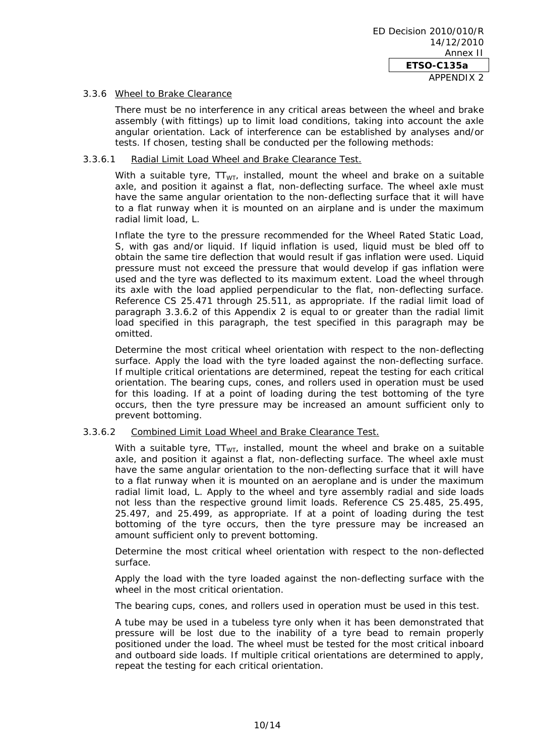# 3.3.6 Wheel to Brake Clearance

There must be no interference in any critical areas between the wheel and brake assembly (with fittings) up to limit load conditions, taking into account the axle angular orientation. Lack of interference can be established by analyses and/or tests. If chosen, testing shall be conducted per the following methods:

#### 3.3.6.1 Radial Limit Load Wheel and Brake Clearance Test.

With a suitable tyre,  $TT_{WT}$ , installed, mount the wheel and brake on a suitable axle, and position it against a flat, non-deflecting surface. The wheel axle must have the same angular orientation to the non-deflecting surface that it will have to a flat runway when it is mounted on an airplane and is under the maximum radial limit load, L.

Inflate the tyre to the pressure recommended for the Wheel Rated Static Load, S, with gas and/or liquid. If liquid inflation is used, liquid must be bled off to obtain the same tire deflection that would result if gas inflation were used. Liquid pressure must not exceed the pressure that would develop if gas inflation were used and the tyre was deflected to its maximum extent. Load the wheel through its axle with the load applied perpendicular to the flat, non-deflecting surface. Reference CS 25.471 through 25.511, as appropriate. If the radial limit load of paragraph 3.3.6.2 of this Appendix 2 is equal to or greater than the radial limit load specified in this paragraph, the test specified in this paragraph may be omitted.

Determine the most critical wheel orientation with respect to the non-deflecting surface. Apply the load with the tyre loaded against the non-deflecting surface. If multiple critical orientations are determined, repeat the testing for each critical orientation. The bearing cups, cones, and rollers used in operation must be used for this loading. If at a point of loading during the test bottoming of the tyre occurs, then the tyre pressure may be increased an amount sufficient only to prevent bottoming.

# 3.3.6.2 Combined Limit Load Wheel and Brake Clearance Test.

With a suitable tyre,  $TT_{\text{WT}}$ , installed, mount the wheel and brake on a suitable axle, and position it against a flat, non-deflecting surface. The wheel axle must have the same angular orientation to the non-deflecting surface that it will have to a flat runway when it is mounted on an aeroplane and is under the maximum radial limit load, L. Apply to the wheel and tyre assembly radial and side loads not less than the respective ground limit loads. Reference CS 25.485, 25.495, 25.497, and 25.499, as appropriate. If at a point of loading during the test bottoming of the tyre occurs, then the tyre pressure may be increased an amount sufficient only to prevent bottoming.

Determine the most critical wheel orientation with respect to the non-deflected surface.

Apply the load with the tyre loaded against the non-deflecting surface with the wheel in the most critical orientation.

The bearing cups, cones, and rollers used in operation must be used in this test.

A tube may be used in a tubeless tyre only when it has been demonstrated that pressure will be lost due to the inability of a tyre bead to remain properly positioned under the load. The wheel must be tested for the most critical inboard and outboard side loads. If multiple critical orientations are determined to apply, repeat the testing for each critical orientation.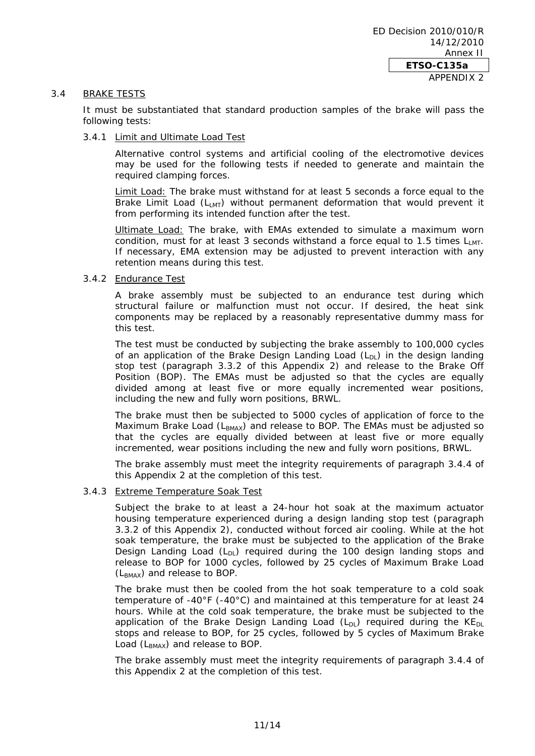#### 3.4 BRAKE TESTS

It must be substantiated that standard production samples of the brake will pass the following tests:

#### 3.4.1 Limit and Ultimate Load Test

Alternative control systems and artificial cooling of the electromotive devices may be used for the following tests if needed to generate and maintain the required clamping forces.

Limit Load: The brake must withstand for at least 5 seconds a force equal to the Brake Limit Load  $(L_{MT})$  without permanent deformation that would prevent it from performing its intended function after the test.

Ultimate Load: The brake, with EMAs extended to simulate a maximum worn condition, must for at least 3 seconds withstand a force equal to 1.5 times  $L_{M}$ . If necessary, EMA extension may be adjusted to prevent interaction with any retention means during this test.

#### 3.4.2 Endurance Test

A brake assembly must be subjected to an endurance test during which structural failure or malfunction must not occur. If desired, the heat sink components may be replaced by a reasonably representative dummy mass for this test.

The test must be conducted by subjecting the brake assembly to 100,000 cycles of an application of the Brake Design Landing Load  $(L_{\text{D}})$  in the design landing stop test (paragraph 3.3.2 of this Appendix 2) and release to the Brake Off Position (BOP). The EMAs must be adjusted so that the cycles are equally divided among at least five or more equally incremented wear positions, including the new and fully worn positions, BRWL.

The brake must then be subjected to 5000 cycles of application of force to the Maximum Brake Load ( $L_{BMAX}$ ) and release to BOP. The EMAs must be adjusted so that the cycles are equally divided between at least five or more equally incremented, wear positions including the new and fully worn positions, BRWL.

The brake assembly must meet the integrity requirements of paragraph 3.4.4 of this Appendix 2 at the completion of this test.

# 3.4.3 Extreme Temperature Soak Test

Subject the brake to at least a 24-hour hot soak at the maximum actuator housing temperature experienced during a design landing stop test (paragraph 3.3.2 of this Appendix 2), conducted without forced air cooling. While at the hot soak temperature, the brake must be subjected to the application of the Brake Design Landing Load  $(L_{D1})$  required during the 100 design landing stops and release to BOP for 1000 cycles, followed by 25 cycles of Maximum Brake Load  $(L_{BMAX})$  and release to BOP.

The brake must then be cooled from the hot soak temperature to a cold soak temperature of -40°F (-40°C) and maintained at this temperature for at least 24 hours. While at the cold soak temperature, the brake must be subjected to the application of the Brake Design Landing Load  $(L_{D1})$  required during the KE<sub>DL</sub> stops and release to BOP, for 25 cycles, followed by 5 cycles of Maximum Brake Load  $(L_{BMAX})$  and release to BOP.

The brake assembly must meet the integrity requirements of paragraph 3.4.4 of this Appendix 2 at the completion of this test.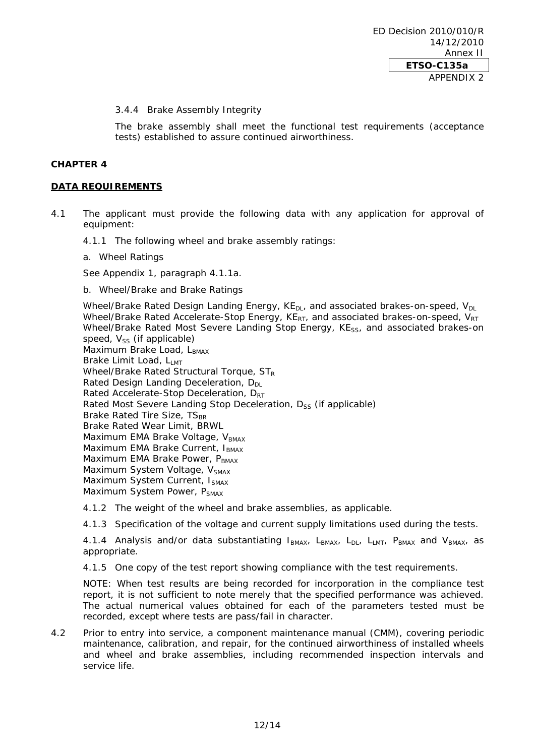#### 3.4.4 Brake Assembly Integrity

The brake assembly shall meet the functional test requirements (acceptance tests) established to assure continued airworthiness.

#### **CHAPTER 4**

# **DATA REQUIREMENTS**

- 4.1 The applicant must provide the following data with any application for approval of equipment:
	- 4.1.1 The following wheel and brake assembly ratings:
	- a. Wheel Ratings

See Appendix 1, paragraph 4.1.1a.

b. Wheel/Brake and Brake Ratings

Wheel/Brake Rated Design Landing Energy,  $KE_{DL}$ , and associated brakes-on-speed,  $V_{DL}$ Wheel/Brake Rated Accelerate-Stop Energy,  $KE_{RT}$ , and associated brakes-on-speed,  $V_{RT}$ Wheel/Brake Rated Most Severe Landing Stop Energy, KE<sub>SS</sub>, and associated brakes-on speed,  $V_{SS}$  (if applicable) Maximum Brake Load, LBMAX Brake Limit Load, Lut Wheel/Brake Rated Structural Torque,  $ST_R$ Rated Design Landing Deceleration,  $D_{DL}$ Rated Accelerate-Stop Deceleration, D<sub>RT</sub> Rated Most Severe Landing Stop Deceleration, D<sub>SS</sub> (if applicable) Brake Rated Tire Size, TS<sub>BR</sub> Brake Rated Wear Limit, BRWL Maximum EMA Brake Voltage, VBMAX Maximum EMA Brake Current, IBMAX Maximum EMA Brake Power, PBMAX Maximum System Voltage, V<sub>SMAX</sub> Maximum System Current, ISMAX Maximum System Power, P<sub>SMAX</sub>

4.1.2 The weight of the wheel and brake assemblies, as applicable.

4.1.3 Specification of the voltage and current supply limitations used during the tests.

4.1.4 Analysis and/or data substantiating  $I_{BMAX}$ ,  $L_{BMAX}$ ,  $L_{DL}$ ,  $L_{LMT}$ ,  $P_{BMAX}$  and  $V_{BMAX}$ , as appropriate.

4.1.5 One copy of the test report showing compliance with the test requirements.

NOTE: When test results are being recorded for incorporation in the compliance test report, it is not sufficient to note merely that the specified performance was achieved. The actual numerical values obtained for each of the parameters tested must be recorded, except where tests are pass/fail in character.

4.2 Prior to entry into service, a component maintenance manual (CMM), covering periodic maintenance, calibration, and repair, for the continued airworthiness of installed wheels and wheel and brake assemblies, including recommended inspection intervals and service life.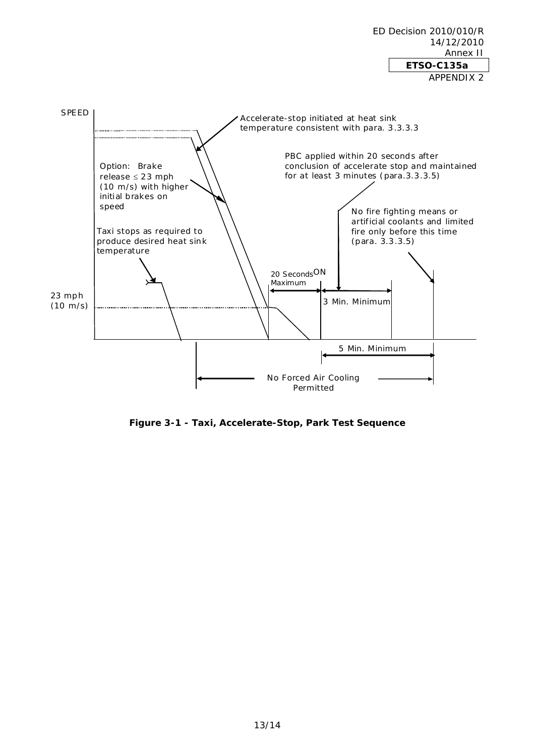ED Decision 2010/010/R 14/12/2010 Annex II **ETSO-C135a**  APPENDIX 2



**Figure 3-1 - Taxi, Accelerate-Stop, Park Test Sequence**